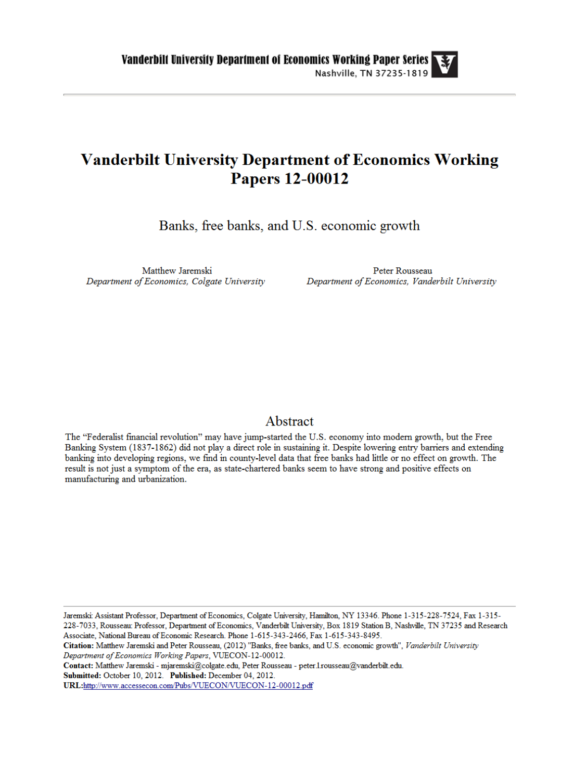# **Vanderbilt University Department of Economics Working Papers 12-00012**

Banks, free banks, and U.S. economic growth

Matthew Jaremski Department of Economics, Colgate University

Peter Rousseau Department of Economics, Vanderbilt University

# Abstract

The "Federalist financial revolution" may have jump-started the U.S. economy into modern growth, but the Free Banking System (1837-1862) did not play a direct role in sustaining it. Despite lowering entry barriers and extending banking into developing regions, we find in county-level data that free banks had little or no effect on growth. The result is not just a symptom of the era, as state-chartered banks seem to have strong and positive effects on manufacturing and urbanization.

Jaremski: Assistant Professor, Department of Economics, Colgate University, Hamilton, NY 13346. Phone 1-315-228-7524, Fax 1-315-228-7033, Rousseau: Professor, Department of Economics, Vanderbilt University, Box 1819 Station B, Nashville, TN 37235 and Research Associate, National Bureau of Economic Research. Phone 1-615-343-2466, Fax 1-615-343-8495.

Citation: Matthew Jaremski and Peter Rousseau, (2012) "Banks, free banks, and U.S. economic growth", Vanderbilt University Department of Economics Working Papers, VUECON-12-00012.

Contact: Matthew Jaremski - mjaremski@colgate.edu, Peter Rousseau - peter.l.rousseau@vanderbilt.edu. Submitted: October 10, 2012. Published: December 04, 2012. URL:http://www.accessecon.com/Pubs/VUECON/VUECON-12-00012.pdf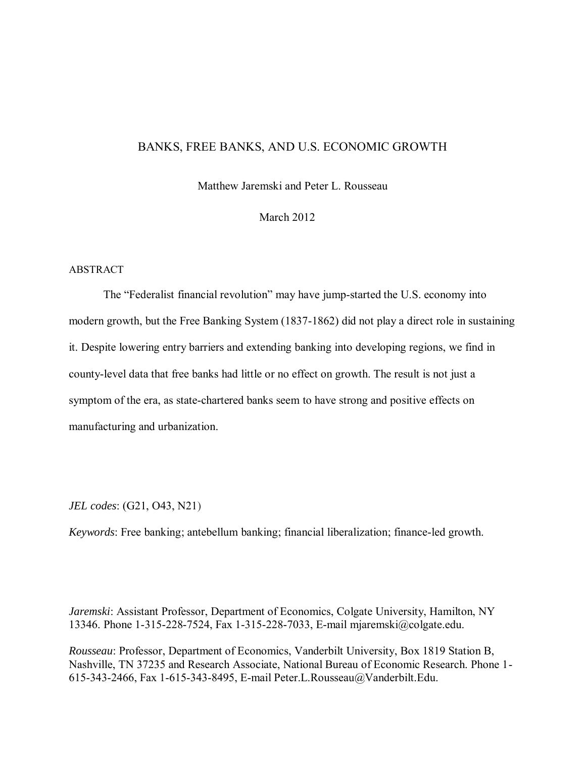# BANKS, FREE BANKS, AND U.S. ECONOMIC GROWTH

Matthew Jaremski and Peter L. Rousseau

March 2012

# ABSTRACT

The "Federalist financial revolution" may have jump-started the U.S. economy into modern growth, but the Free Banking System (1837-1862) did not play a direct role in sustaining it. Despite lowering entry barriers and extending banking into developing regions, we find in county-level data that free banks had little or no effect on growth. The result is not just a symptom of the era, as state-chartered banks seem to have strong and positive effects on manufacturing and urbanization.

*JEL codes*: (G21, O43, N21)

*Keywords*: Free banking; antebellum banking; financial liberalization; finance-led growth.

*Jaremski*: Assistant Professor, Department of Economics, Colgate University, Hamilton, NY 13346. Phone 1-315-228-7524, Fax 1-315-228-7033, E-mail mjaremski@colgate.edu.

*Rousseau*: Professor, Department of Economics, Vanderbilt University, Box 1819 Station B, Nashville, TN 37235 and Research Associate, National Bureau of Economic Research. Phone 1- 615-343-2466, Fax 1-615-343-8495, E-mail Peter.L.Rousseau@Vanderbilt.Edu.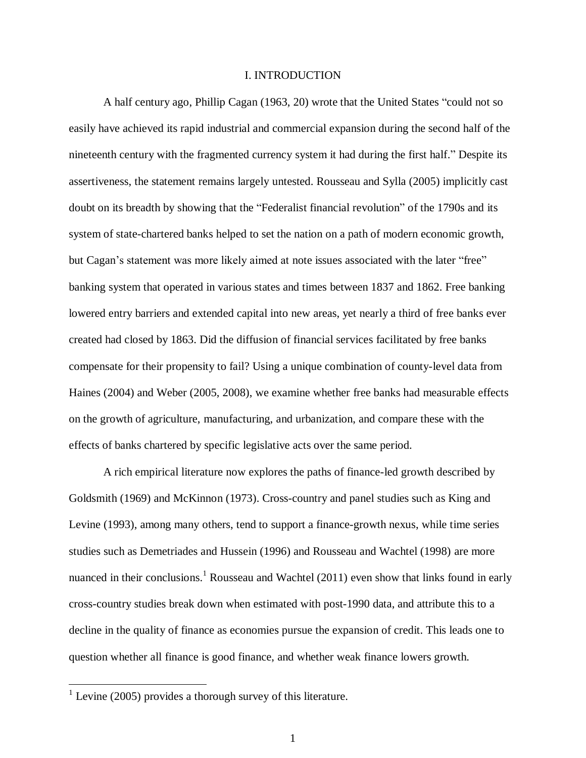#### I. INTRODUCTION

 A half century ago, Phillip Cagan (1963, 20) wrote that the United States "could not so easily have achieved its rapid industrial and commercial expansion during the second half of the nineteenth century with the fragmented currency system it had during the first half." Despite its assertiveness, the statement remains largely untested. Rousseau and Sylla (2005) implicitly cast doubt on its breadth by showing that the "Federalist financial revolution" of the 1790s and its system of state-chartered banks helped to set the nation on a path of modern economic growth, but Cagan's statement was more likely aimed at note issues associated with the later "free" banking system that operated in various states and times between 1837 and 1862. Free banking lowered entry barriers and extended capital into new areas, yet nearly a third of free banks ever created had closed by 1863. Did the diffusion of financial services facilitated by free banks compensate for their propensity to fail? Using a unique combination of county-level data from Haines (2004) and Weber (2005, 2008), we examine whether free banks had measurable effects on the growth of agriculture, manufacturing, and urbanization, and compare these with the effects of banks chartered by specific legislative acts over the same period.

A rich empirical literature now explores the paths of finance-led growth described by Goldsmith (1969) and McKinnon (1973). Cross-country and panel studies such as King and Levine (1993), among many others, tend to support a finance-growth nexus, while time series studies such as Demetriades and Hussein (1996) and Rousseau and Wachtel (1998) are more nuanced in their conclusions.<sup>1</sup> Rousseau and Wachtel (2011) even show that links found in early cross-country studies break down when estimated with post-1990 data, and attribute this to a decline in the quality of finance as economies pursue the expansion of credit. This leads one to question whether all finance is good finance, and whether weak finance lowers growth.

 $<sup>1</sup>$  Levine (2005) provides a thorough survey of this literature.</sup>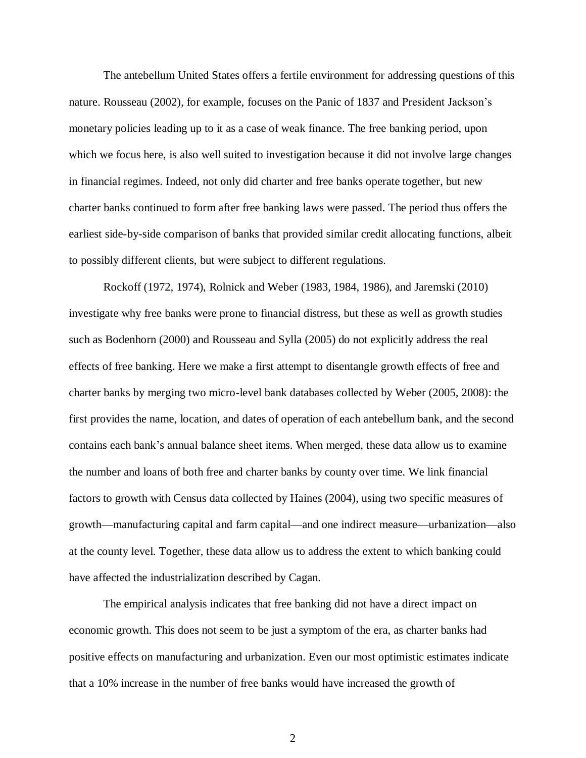The antebellum United States offers a fertile environment for addressing questions of this nature. Rousseau (2002), for example, focuses on the Panic of 1837 and President Jackson's monetary policies leading up to it as a case of weak finance. The free banking period, upon which we focus here, is also well suited to investigation because it did not involve large changes in financial regimes. Indeed, not only did charter and free banks operate together, but new charter banks continued to form after free banking laws were passed. The period thus offers the earliest side-by-side comparison of banks that provided similar credit allocating functions, albeit to possibly different clients, but were subject to different regulations.

 Rockoff (1972, 1974), Rolnick and Weber (1983, 1984, 1986), and Jaremski (2010) investigate why free banks were prone to financial distress, but these as well as growth studies such as Bodenhorn (2000) and Rousseau and Sylla (2005) do not explicitly address the real effects of free banking. Here we make a first attempt to disentangle growth effects of free and charter banks by merging two micro-level bank databases collected by Weber (2005, 2008): the first provides the name, location, and dates of operation of each antebellum bank, and the second contains each bank's annual balance sheet items. When merged, these data allow us to examine the number and loans of both free and charter banks by county over time. We link financial factors to growth with Census data collected by Haines (2004), using two specific measures of growth—manufacturing capital and farm capital—and one indirect measure—urbanization—also at the county level. Together, these data allow us to address the extent to which banking could have affected the industrialization described by Cagan.

 The empirical analysis indicates that free banking did not have a direct impact on economic growth. This does not seem to be just a symptom of the era, as charter banks had positive effects on manufacturing and urbanization. Even our most optimistic estimates indicate that a 10% increase in the number of free banks would have increased the growth of

2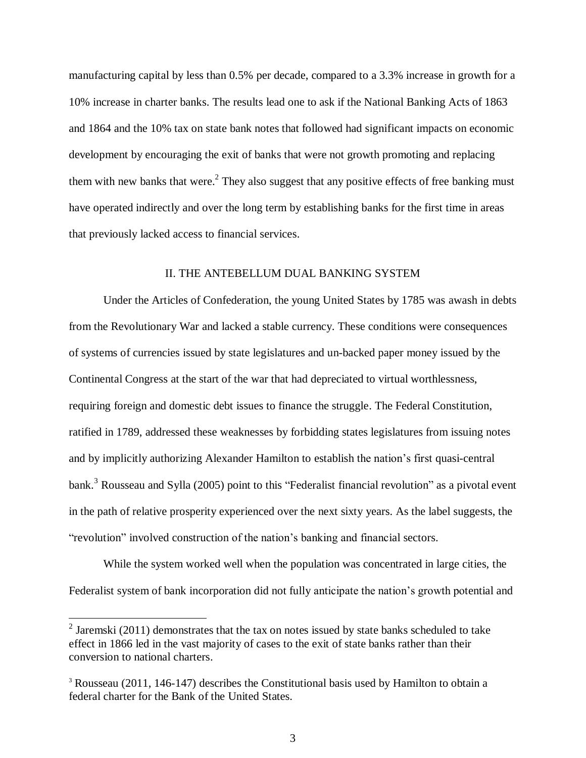manufacturing capital by less than 0.5% per decade, compared to a 3.3% increase in growth for a 10% increase in charter banks. The results lead one to ask if the National Banking Acts of 1863 and 1864 and the 10% tax on state bank notes that followed had significant impacts on economic development by encouraging the exit of banks that were not growth promoting and replacing them with new banks that were. $2$  They also suggest that any positive effects of free banking must have operated indirectly and over the long term by establishing banks for the first time in areas that previously lacked access to financial services.

#### II. THE ANTEBELLUM DUAL BANKING SYSTEM

 Under the Articles of Confederation, the young United States by 1785 was awash in debts from the Revolutionary War and lacked a stable currency. These conditions were consequences of systems of currencies issued by state legislatures and un-backed paper money issued by the Continental Congress at the start of the war that had depreciated to virtual worthlessness, requiring foreign and domestic debt issues to finance the struggle. The Federal Constitution, ratified in 1789, addressed these weaknesses by forbidding states legislatures from issuing notes and by implicitly authorizing Alexander Hamilton to establish the nation's first quasi-central bank.<sup>3</sup> Rousseau and Sylla (2005) point to this "Federalist financial revolution" as a pivotal event in the path of relative prosperity experienced over the next sixty years. As the label suggests, the "revolution" involved construction of the nation's banking and financial sectors.

While the system worked well when the population was concentrated in large cities, the Federalist system of bank incorporation did not fully anticipate the nation's growth potential and

<sup>&</sup>lt;sup>2</sup> Jaremski (2011) demonstrates that the tax on notes issued by state banks scheduled to take effect in 1866 led in the vast majority of cases to the exit of state banks rather than their conversion to national charters.

<sup>3</sup> Rousseau (2011, 146-147) describes the Constitutional basis used by Hamilton to obtain a federal charter for the Bank of the United States.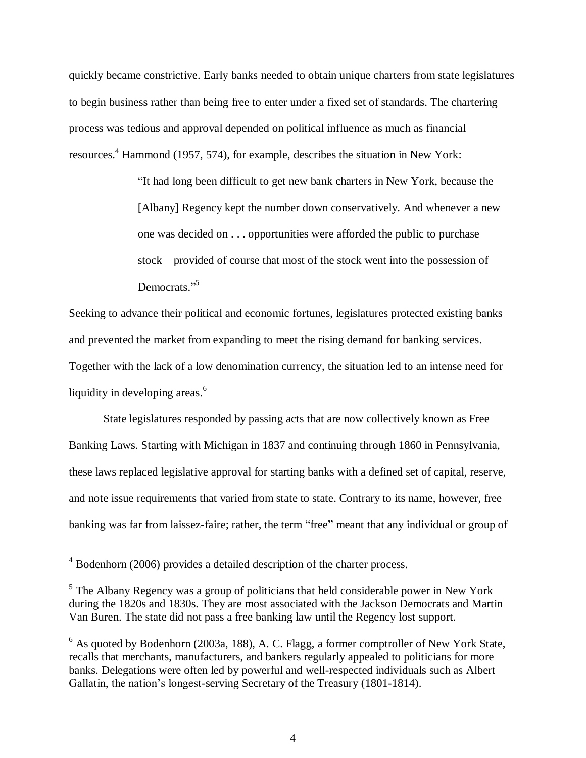quickly became constrictive. Early banks needed to obtain unique charters from state legislatures to begin business rather than being free to enter under a fixed set of standards. The chartering process was tedious and approval depended on political influence as much as financial resources.<sup>4</sup> Hammond (1957, 574), for example, describes the situation in New York:

> "It had long been difficult to get new bank charters in New York, because the [Albany] Regency kept the number down conservatively. And whenever a new one was decided on . . . opportunities were afforded the public to purchase stock—provided of course that most of the stock went into the possession of Democrats."<sup>5</sup>

Seeking to advance their political and economic fortunes, legislatures protected existing banks and prevented the market from expanding to meet the rising demand for banking services. Together with the lack of a low denomination currency, the situation led to an intense need for liquidity in developing areas.<sup>6</sup>

State legislatures responded by passing acts that are now collectively known as Free Banking Laws. Starting with Michigan in 1837 and continuing through 1860 in Pennsylvania, these laws replaced legislative approval for starting banks with a defined set of capital, reserve, and note issue requirements that varied from state to state. Contrary to its name, however, free banking was far from laissez-faire; rather, the term "free" meant that any individual or group of

 $4$  Bodenhorn (2006) provides a detailed description of the charter process.

<sup>&</sup>lt;sup>5</sup> The Albany Regency was a group of politicians that held considerable power in New York during the 1820s and 1830s. They are most associated with the Jackson Democrats and Martin Van Buren. The state did not pass a free banking law until the Regency lost support.

 $6$  As quoted by Bodenhorn (2003a, 188), A. C. Flagg, a former comptroller of New York State, recalls that merchants, manufacturers, and bankers regularly appealed to politicians for more banks. Delegations were often led by powerful and well-respected individuals such as Albert Gallatin, the nation's longest-serving Secretary of the Treasury (1801-1814).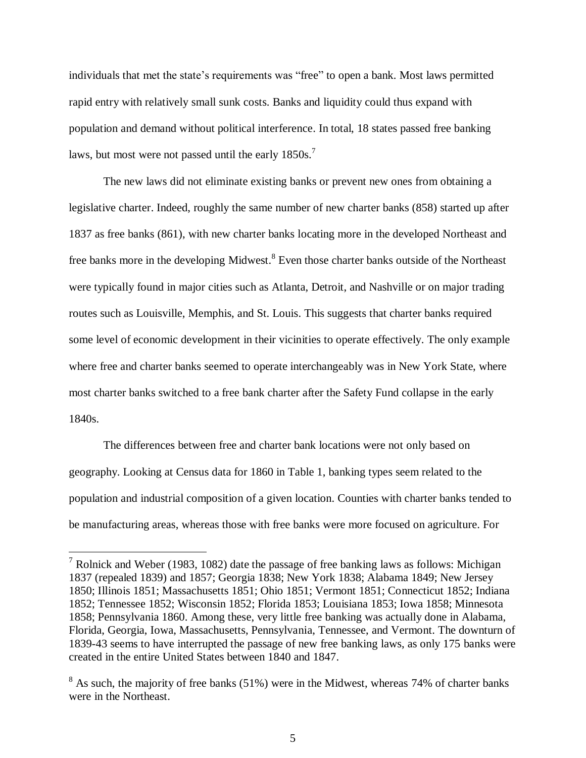individuals that met the state's requirements was "free" to open a bank. Most laws permitted rapid entry with relatively small sunk costs. Banks and liquidity could thus expand with population and demand without political interference. In total, 18 states passed free banking laws, but most were not passed until the early  $1850s$ .<sup>7</sup>

 The new laws did not eliminate existing banks or prevent new ones from obtaining a legislative charter. Indeed, roughly the same number of new charter banks (858) started up after 1837 as free banks (861), with new charter banks locating more in the developed Northeast and free banks more in the developing Midwest.<sup>8</sup> Even those charter banks outside of the Northeast were typically found in major cities such as Atlanta, Detroit, and Nashville or on major trading routes such as Louisville, Memphis, and St. Louis. This suggests that charter banks required some level of economic development in their vicinities to operate effectively. The only example where free and charter banks seemed to operate interchangeably was in New York State, where most charter banks switched to a free bank charter after the Safety Fund collapse in the early 1840s.

The differences between free and charter bank locations were not only based on geography. Looking at Census data for 1860 in Table 1, banking types seem related to the population and industrial composition of a given location. Counties with charter banks tended to be manufacturing areas, whereas those with free banks were more focused on agriculture. For

<sup>&</sup>lt;sup>7</sup> Rolnick and Weber (1983, 1082) date the passage of free banking laws as follows: Michigan 1837 (repealed 1839) and 1857; Georgia 1838; New York 1838; Alabama 1849; New Jersey 1850; Illinois 1851; Massachusetts 1851; Ohio 1851; Vermont 1851; Connecticut 1852; Indiana 1852; Tennessee 1852; Wisconsin 1852; Florida 1853; Louisiana 1853; Iowa 1858; Minnesota 1858; Pennsylvania 1860. Among these, very little free banking was actually done in Alabama, Florida, Georgia, Iowa, Massachusetts, Pennsylvania, Tennessee, and Vermont. The downturn of 1839-43 seems to have interrupted the passage of new free banking laws, as only 175 banks were created in the entire United States between 1840 and 1847.

 $8$  As such, the majority of free banks (51%) were in the Midwest, whereas 74% of charter banks were in the Northeast.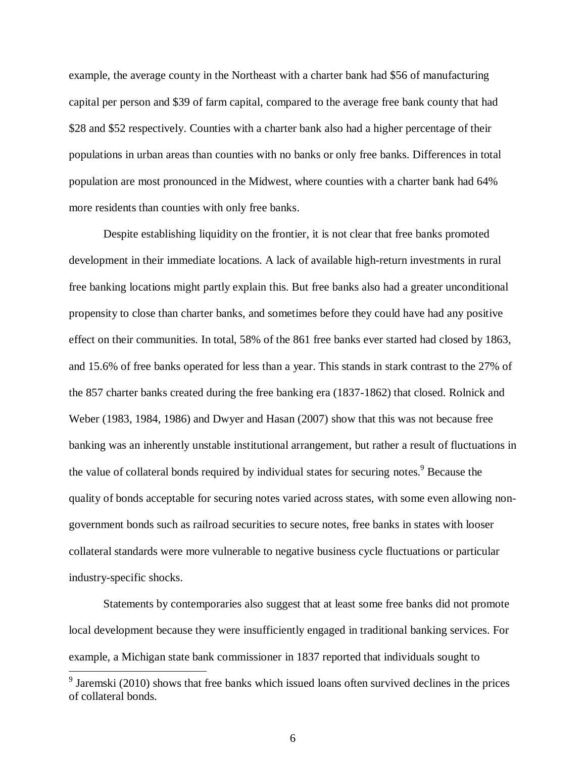example, the average county in the Northeast with a charter bank had \$56 of manufacturing capital per person and \$39 of farm capital, compared to the average free bank county that had \$28 and \$52 respectively. Counties with a charter bank also had a higher percentage of their populations in urban areas than counties with no banks or only free banks. Differences in total population are most pronounced in the Midwest, where counties with a charter bank had 64% more residents than counties with only free banks.

Despite establishing liquidity on the frontier, it is not clear that free banks promoted development in their immediate locations. A lack of available high-return investments in rural free banking locations might partly explain this. But free banks also had a greater unconditional propensity to close than charter banks, and sometimes before they could have had any positive effect on their communities. In total, 58% of the 861 free banks ever started had closed by 1863, and 15.6% of free banks operated for less than a year. This stands in stark contrast to the 27% of the 857 charter banks created during the free banking era (1837-1862) that closed. Rolnick and Weber (1983, 1984, 1986) and Dwyer and Hasan (2007) show that this was not because free banking was an inherently unstable institutional arrangement, but rather a result of fluctuations in the value of collateral bonds required by individual states for securing notes.<sup>9</sup> Because the quality of bonds acceptable for securing notes varied across states, with some even allowing nongovernment bonds such as railroad securities to secure notes, free banks in states with looser collateral standards were more vulnerable to negative business cycle fluctuations or particular industry-specific shocks.

 Statements by contemporaries also suggest that at least some free banks did not promote local development because they were insufficiently engaged in traditional banking services. For example, a Michigan state bank commissioner in 1837 reported that individuals sought to

 $9$  Jaremski (2010) shows that free banks which issued loans often survived declines in the prices of collateral bonds.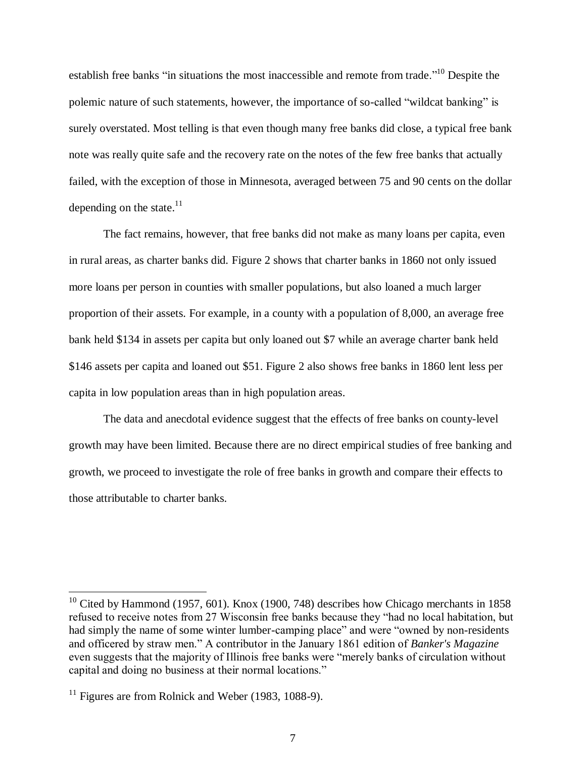establish free banks "in situations the most inaccessible and remote from trade."<sup>10</sup> Despite the polemic nature of such statements, however, the importance of so-called "wildcat banking" is surely overstated. Most telling is that even though many free banks did close, a typical free bank note was really quite safe and the recovery rate on the notes of the few free banks that actually failed, with the exception of those in Minnesota, averaged between 75 and 90 cents on the dollar depending on the state. $11$ 

The fact remains, however, that free banks did not make as many loans per capita, even in rural areas, as charter banks did. Figure 2 shows that charter banks in 1860 not only issued more loans per person in counties with smaller populations, but also loaned a much larger proportion of their assets. For example, in a county with a population of 8,000, an average free bank held \$134 in assets per capita but only loaned out \$7 while an average charter bank held \$146 assets per capita and loaned out \$51. Figure 2 also shows free banks in 1860 lent less per capita in low population areas than in high population areas.

The data and anecdotal evidence suggest that the effects of free banks on county-level growth may have been limited. Because there are no direct empirical studies of free banking and growth, we proceed to investigate the role of free banks in growth and compare their effects to those attributable to charter banks.

 $10$  Cited by Hammond (1957, 601). Knox (1900, 748) describes how Chicago merchants in 1858 refused to receive notes from 27 Wisconsin free banks because they "had no local habitation, but had simply the name of some winter lumber-camping place" and were "owned by non-residents and officered by straw men." A contributor in the January 1861 edition of *Banker's Magazine* even suggests that the majority of Illinois free banks were "merely banks of circulation without capital and doing no business at their normal locations."

 $11$  Figures are from Rolnick and Weber (1983, 1088-9).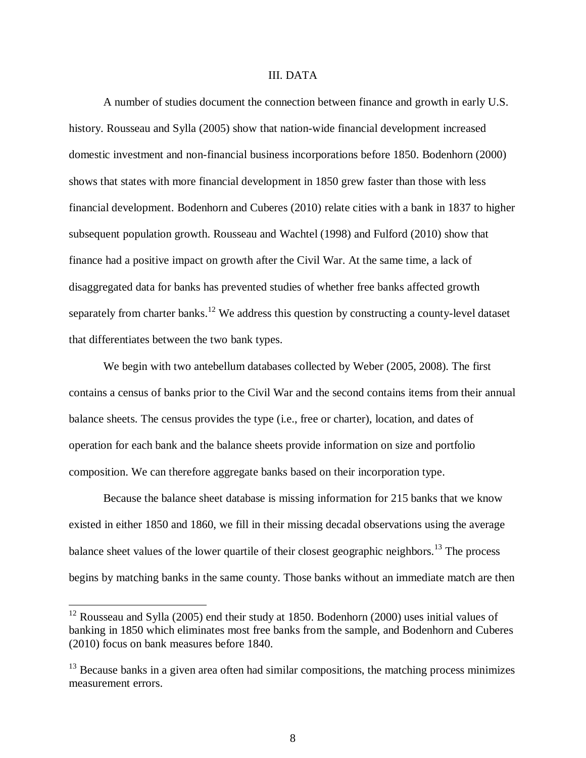#### III. DATA

A number of studies document the connection between finance and growth in early U.S. history. Rousseau and Sylla (2005) show that nation-wide financial development increased domestic investment and non-financial business incorporations before 1850. Bodenhorn (2000) shows that states with more financial development in 1850 grew faster than those with less financial development. Bodenhorn and Cuberes (2010) relate cities with a bank in 1837 to higher subsequent population growth. Rousseau and Wachtel (1998) and Fulford (2010) show that finance had a positive impact on growth after the Civil War. At the same time, a lack of disaggregated data for banks has prevented studies of whether free banks affected growth separately from charter banks.<sup>12</sup> We address this question by constructing a county-level dataset that differentiates between the two bank types.

We begin with two antebellum databases collected by Weber (2005, 2008). The first contains a census of banks prior to the Civil War and the second contains items from their annual balance sheets. The census provides the type (i.e., free or charter), location, and dates of operation for each bank and the balance sheets provide information on size and portfolio composition. We can therefore aggregate banks based on their incorporation type.

Because the balance sheet database is missing information for 215 banks that we know existed in either 1850 and 1860, we fill in their missing decadal observations using the average balance sheet values of the lower quartile of their closest geographic neighbors.<sup>13</sup> The process begins by matching banks in the same county. Those banks without an immediate match are then

 $12$  Rousseau and Sylla (2005) end their study at 1850. Bodenhorn (2000) uses initial values of banking in 1850 which eliminates most free banks from the sample, and Bodenhorn and Cuberes (2010) focus on bank measures before 1840.

 $13$  Because banks in a given area often had similar compositions, the matching process minimizes measurement errors.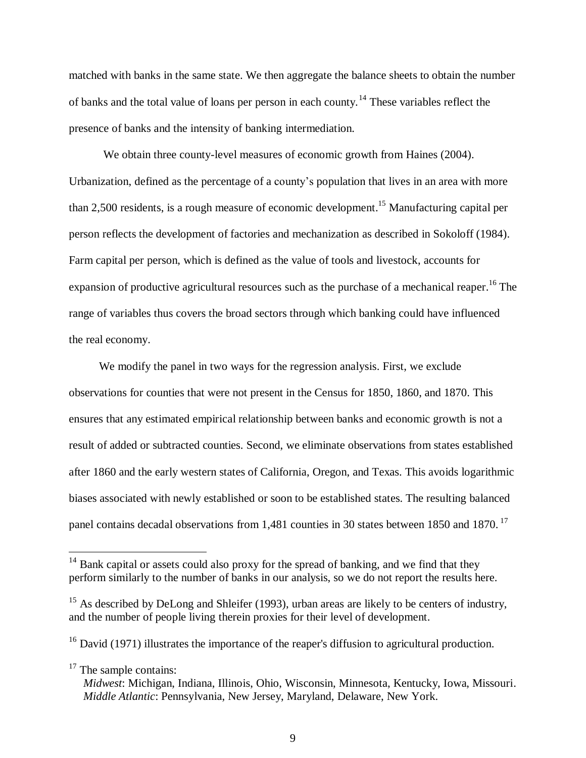matched with banks in the same state. We then aggregate the balance sheets to obtain the number of banks and the total value of loans per person in each county.<sup>14</sup> These variables reflect the presence of banks and the intensity of banking intermediation.

We obtain three county-level measures of economic growth from Haines (2004). Urbanization, defined as the percentage of a county's population that lives in an area with more than 2.500 residents, is a rough measure of economic development.<sup>15</sup> Manufacturing capital per person reflects the development of factories and mechanization as described in Sokoloff (1984). Farm capital per person, which is defined as the value of tools and livestock, accounts for expansion of productive agricultural resources such as the purchase of a mechanical reaper.<sup>16</sup> The range of variables thus covers the broad sectors through which banking could have influenced the real economy.

We modify the panel in two ways for the regression analysis. First, we exclude observations for counties that were not present in the Census for 1850, 1860, and 1870. This ensures that any estimated empirical relationship between banks and economic growth is not a result of added or subtracted counties. Second, we eliminate observations from states established after 1860 and the early western states of California, Oregon, and Texas. This avoids logarithmic biases associated with newly established or soon to be established states. The resulting balanced panel contains decadal observations from 1,481 counties in 30 states between 1850 and 1870.<sup>17</sup>

 $17$  The sample contains:

 $14$  Bank capital or assets could also proxy for the spread of banking, and we find that they perform similarly to the number of banks in our analysis, so we do not report the results here.

<sup>&</sup>lt;sup>15</sup> As described by DeLong and Shleifer (1993), urban areas are likely to be centers of industry, and the number of people living therein proxies for their level of development.

 $16$  David (1971) illustrates the importance of the reaper's diffusion to agricultural production.

*Midwest*: Michigan, Indiana, Illinois, Ohio, Wisconsin, Minnesota, Kentucky, Iowa, Missouri. *Middle Atlantic*: Pennsylvania, New Jersey, Maryland, Delaware, New York.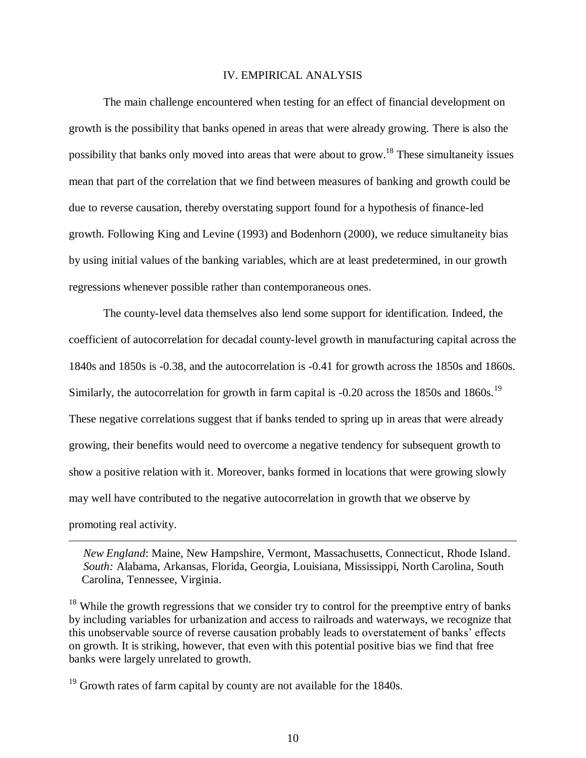## IV. EMPIRICAL ANALYSIS

The main challenge encountered when testing for an effect of financial development on growth is the possibility that banks opened in areas that were already growing. There is also the possibility that banks only moved into areas that were about to grow.<sup>18</sup> These simultaneity issues mean that part of the correlation that we find between measures of banking and growth could be due to reverse causation, thereby overstating support found for a hypothesis of finance-led growth. Following King and Levine (1993) and Bodenhorn (2000), we reduce simultaneity bias by using initial values of the banking variables, which are at least predetermined, in our growth regressions whenever possible rather than contemporaneous ones.

The county-level data themselves also lend some support for identification. Indeed, the coefficient of autocorrelation for decadal county-level growth in manufacturing capital across the 1840s and 1850s is -0.38, and the autocorrelation is -0.41 for growth across the 1850s and 1860s. Similarly, the autocorrelation for growth in farm capital is -0.20 across the 1850s and 1860s.<sup>19</sup> These negative correlations suggest that if banks tended to spring up in areas that were already growing, their benefits would need to overcome a negative tendency for subsequent growth to show a positive relation with it. Moreover, banks formed in locations that were growing slowly may well have contributed to the negative autocorrelation in growth that we observe by promoting real activity.

 *New England*: Maine, New Hampshire, Vermont, Massachusetts, Connecticut, Rhode Island. *South:* Alabama, Arkansas, Florida, Georgia, Louisiana, Mississippi, North Carolina, South Carolina, Tennessee, Virginia.

 $18$  While the growth regressions that we consider try to control for the preemptive entry of banks by including variables for urbanization and access to railroads and waterways, we recognize that this unobservable source of reverse causation probably leads to overstatement of banks' effects on growth. It is striking, however, that even with this potential positive bias we find that free banks were largely unrelated to growth.

 $19$  Growth rates of farm capital by county are not available for the 1840s.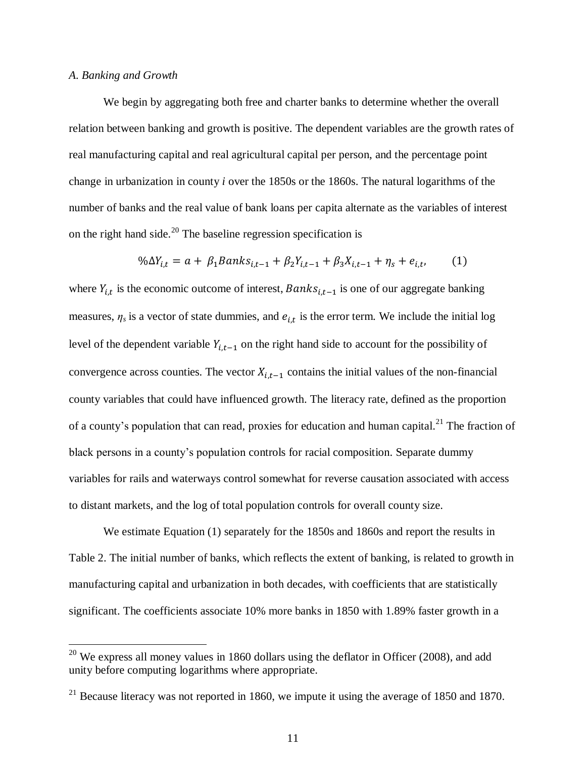#### *A. Banking and Growth*

 $\overline{a}$ 

We begin by aggregating both free and charter banks to determine whether the overall relation between banking and growth is positive. The dependent variables are the growth rates of real manufacturing capital and real agricultural capital per person, and the percentage point change in urbanization in county *i* over the 1850s or the 1860s. The natural logarithms of the number of banks and the real value of bank loans per capita alternate as the variables of interest on the right hand side.<sup>20</sup> The baseline regression specification is

$$
\% \Delta Y_{i,t} = a + \beta_1 Banks_{i,t-1} + \beta_2 Y_{i,t-1} + \beta_3 X_{i,t-1} + \eta_s + e_{i,t}, \tag{1}
$$

where  $Y_{i,t}$  is the economic outcome of interest,  $Banks_{i,t-1}$  is one of our aggregate banking measures,  $\eta_s$  is a vector of state dummies, and  $e_{i,t}$  is the error term. We include the initial log level of the dependent variable  $Y_{i,t-1}$  on the right hand side to account for the possibility of convergence across counties. The vector  $X_{i,t-1}$  contains the initial values of the non-financial county variables that could have influenced growth. The literacy rate, defined as the proportion of a county's population that can read, proxies for education and human capital.<sup>21</sup> The fraction of black persons in a county's population controls for racial composition. Separate dummy variables for rails and waterways control somewhat for reverse causation associated with access to distant markets, and the log of total population controls for overall county size.

 We estimate Equation (1) separately for the 1850s and 1860s and report the results in Table 2. The initial number of banks, which reflects the extent of banking, is related to growth in manufacturing capital and urbanization in both decades, with coefficients that are statistically significant. The coefficients associate 10% more banks in 1850 with 1.89% faster growth in a

 $20$  We express all money values in 1860 dollars using the deflator in Officer (2008), and add unity before computing logarithms where appropriate.

 $21$  Because literacy was not reported in 1860, we impute it using the average of 1850 and 1870.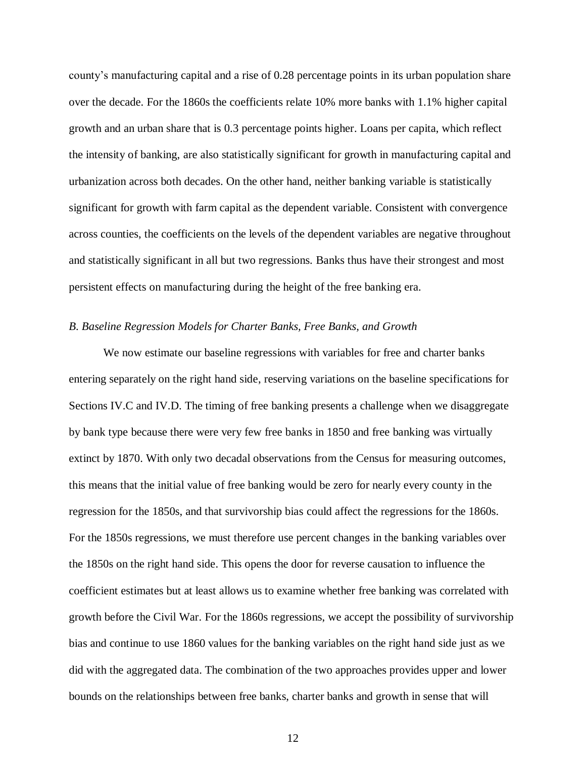county's manufacturing capital and a rise of 0.28 percentage points in its urban population share over the decade. For the 1860s the coefficients relate 10% more banks with 1.1% higher capital growth and an urban share that is 0.3 percentage points higher. Loans per capita, which reflect the intensity of banking, are also statistically significant for growth in manufacturing capital and urbanization across both decades. On the other hand, neither banking variable is statistically significant for growth with farm capital as the dependent variable. Consistent with convergence across counties, the coefficients on the levels of the dependent variables are negative throughout and statistically significant in all but two regressions. Banks thus have their strongest and most persistent effects on manufacturing during the height of the free banking era.

#### *B. Baseline Regression Models for Charter Banks, Free Banks, and Growth*

We now estimate our baseline regressions with variables for free and charter banks entering separately on the right hand side, reserving variations on the baseline specifications for Sections IV.C and IV.D. The timing of free banking presents a challenge when we disaggregate by bank type because there were very few free banks in 1850 and free banking was virtually extinct by 1870. With only two decadal observations from the Census for measuring outcomes, this means that the initial value of free banking would be zero for nearly every county in the regression for the 1850s, and that survivorship bias could affect the regressions for the 1860s. For the 1850s regressions, we must therefore use percent changes in the banking variables over the 1850s on the right hand side. This opens the door for reverse causation to influence the coefficient estimates but at least allows us to examine whether free banking was correlated with growth before the Civil War. For the 1860s regressions, we accept the possibility of survivorship bias and continue to use 1860 values for the banking variables on the right hand side just as we did with the aggregated data. The combination of the two approaches provides upper and lower bounds on the relationships between free banks, charter banks and growth in sense that will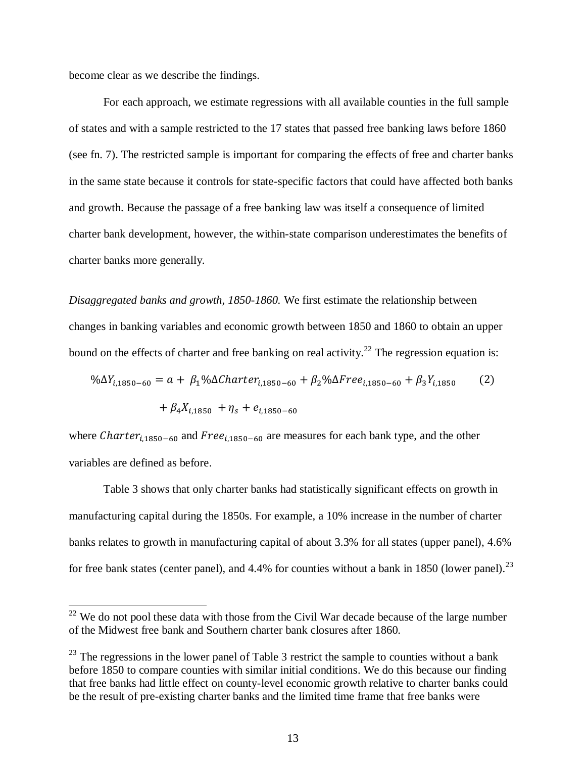become clear as we describe the findings.

 $\overline{a}$ 

 For each approach, we estimate regressions with all available counties in the full sample of states and with a sample restricted to the 17 states that passed free banking laws before 1860 (see fn. 7). The restricted sample is important for comparing the effects of free and charter banks in the same state because it controls for state-specific factors that could have affected both banks and growth. Because the passage of a free banking law was itself a consequence of limited charter bank development, however, the within-state comparison underestimates the benefits of charter banks more generally.

*Disaggregated banks and growth, 1850-1860.* We first estimate the relationship between changes in banking variables and economic growth between 1850 and 1860 to obtain an upper bound on the effects of charter and free banking on real activity.<sup>22</sup> The regression equation is:

$$
\% \Delta Y_{i,1850-60} = a + \beta_1 \% \Delta Charter_{i,1850-60} + \beta_2 \% \Delta Free_{i,1850-60} + \beta_3 Y_{i,1850}
$$
 (2)  
+  $\beta_4 X_{i,1850} + \eta_s + e_{i,1850-60}$ 

where Charter<sub>i,1850-60</sub> and  $Free_{i,1850-60}$  are measures for each bank type, and the other variables are defined as before.

 Table 3 shows that only charter banks had statistically significant effects on growth in manufacturing capital during the 1850s. For example, a 10% increase in the number of charter banks relates to growth in manufacturing capital of about 3.3% for all states (upper panel), 4.6% for free bank states (center panel), and  $4.4\%$  for counties without a bank in 1850 (lower panel).<sup>23</sup>

 $22$  We do not pool these data with those from the Civil War decade because of the large number of the Midwest free bank and Southern charter bank closures after 1860.

 $^{23}$  The regressions in the lower panel of Table 3 restrict the sample to counties without a bank before 1850 to compare counties with similar initial conditions. We do this because our finding that free banks had little effect on county-level economic growth relative to charter banks could be the result of pre-existing charter banks and the limited time frame that free banks were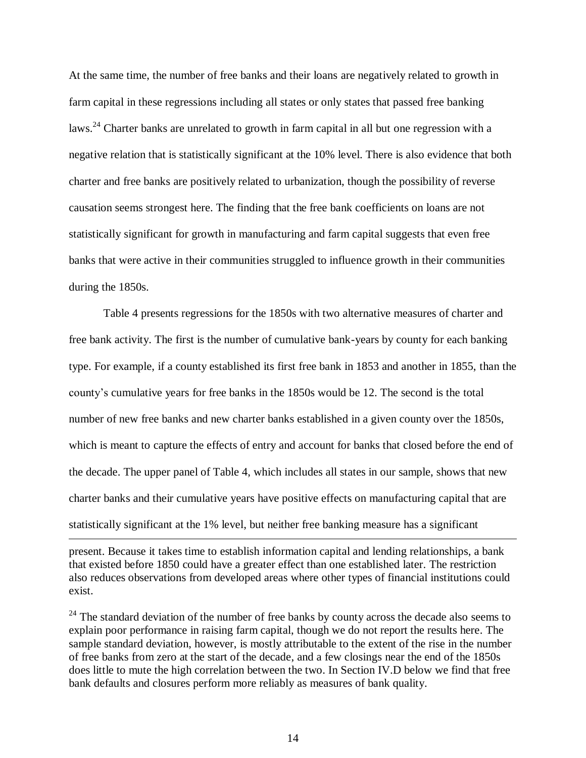At the same time, the number of free banks and their loans are negatively related to growth in farm capital in these regressions including all states or only states that passed free banking laws.<sup>24</sup> Charter banks are unrelated to growth in farm capital in all but one regression with a negative relation that is statistically significant at the 10% level. There is also evidence that both charter and free banks are positively related to urbanization, though the possibility of reverse causation seems strongest here. The finding that the free bank coefficients on loans are not statistically significant for growth in manufacturing and farm capital suggests that even free banks that were active in their communities struggled to influence growth in their communities during the 1850s.

 Table 4 presents regressions for the 1850s with two alternative measures of charter and free bank activity. The first is the number of cumulative bank-years by county for each banking type. For example, if a county established its first free bank in 1853 and another in 1855, than the county's cumulative years for free banks in the 1850s would be 12. The second is the total number of new free banks and new charter banks established in a given county over the 1850s, which is meant to capture the effects of entry and account for banks that closed before the end of the decade. The upper panel of Table 4, which includes all states in our sample, shows that new charter banks and their cumulative years have positive effects on manufacturing capital that are statistically significant at the 1% level, but neither free banking measure has a significant

present. Because it takes time to establish information capital and lending relationships, a bank that existed before 1850 could have a greater effect than one established later. The restriction also reduces observations from developed areas where other types of financial institutions could exist.

 $\overline{a}$ 

<sup>24</sup> The standard deviation of the number of free banks by county across the decade also seems to explain poor performance in raising farm capital, though we do not report the results here. The sample standard deviation, however, is mostly attributable to the extent of the rise in the number of free banks from zero at the start of the decade, and a few closings near the end of the 1850s does little to mute the high correlation between the two. In Section IV.D below we find that free bank defaults and closures perform more reliably as measures of bank quality.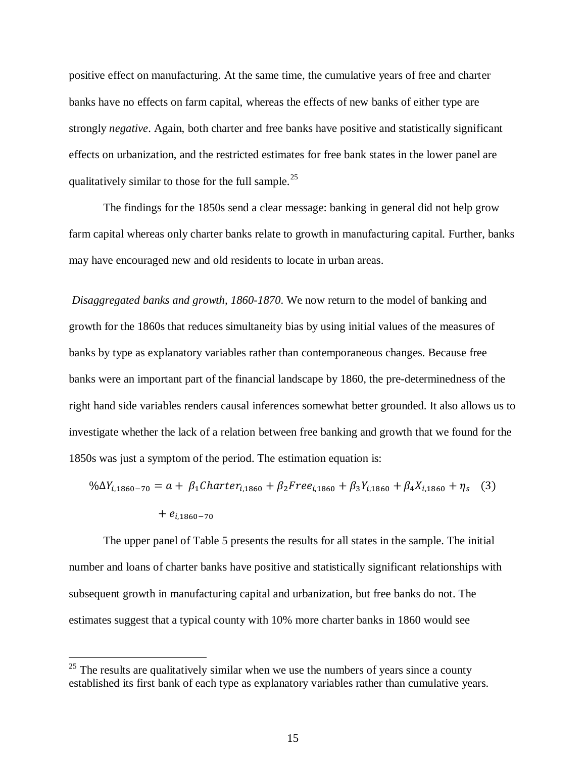positive effect on manufacturing. At the same time, the cumulative years of free and charter banks have no effects on farm capital, whereas the effects of new banks of either type are strongly *negative*. Again, both charter and free banks have positive and statistically significant effects on urbanization, and the restricted estimates for free bank states in the lower panel are qualitatively similar to those for the full sample.<sup>25</sup>

The findings for the 1850s send a clear message: banking in general did not help grow farm capital whereas only charter banks relate to growth in manufacturing capital. Further, banks may have encouraged new and old residents to locate in urban areas.

*Disaggregated banks and growth, 1860-1870*. We now return to the model of banking and growth for the 1860s that reduces simultaneity bias by using initial values of the measures of banks by type as explanatory variables rather than contemporaneous changes. Because free banks were an important part of the financial landscape by 1860, the pre-determinedness of the right hand side variables renders causal inferences somewhat better grounded. It also allows us to investigate whether the lack of a relation between free banking and growth that we found for the 1850s was just a symptom of the period. The estimation equation is:

$$
\% \Delta Y_{i,1860-70} = a + \beta_1 \text{Character}_{i,1860} + \beta_2 \text{Free}_{i,1860} + \beta_3 Y_{i,1860} + \beta_4 X_{i,1860} + \eta_s \quad (3)
$$

$$
+ e_{i,1860-70}
$$

The upper panel of Table 5 presents the results for all states in the sample. The initial number and loans of charter banks have positive and statistically significant relationships with subsequent growth in manufacturing capital and urbanization, but free banks do not. The estimates suggest that a typical county with 10% more charter banks in 1860 would see

 $25$  The results are qualitatively similar when we use the numbers of years since a county established its first bank of each type as explanatory variables rather than cumulative years.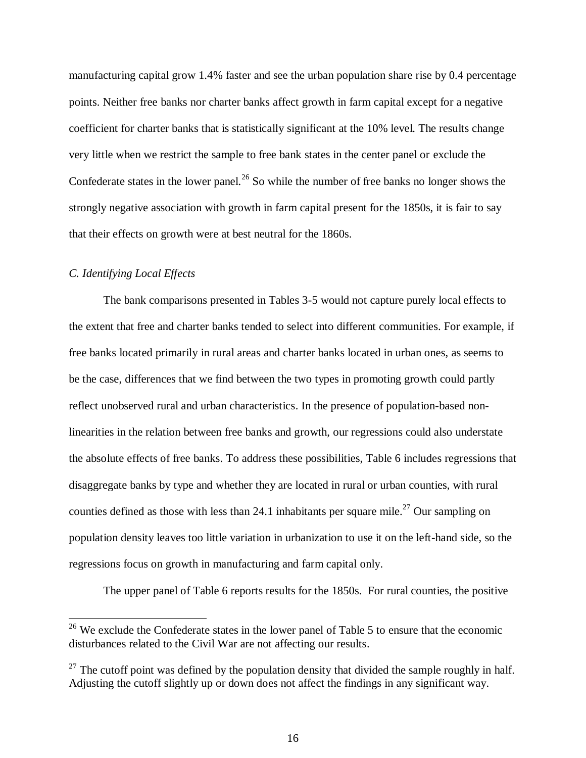manufacturing capital grow 1.4% faster and see the urban population share rise by 0.4 percentage points. Neither free banks nor charter banks affect growth in farm capital except for a negative coefficient for charter banks that is statistically significant at the 10% level. The results change very little when we restrict the sample to free bank states in the center panel or exclude the Confederate states in the lower panel.<sup>26</sup> So while the number of free banks no longer shows the strongly negative association with growth in farm capital present for the 1850s, it is fair to say that their effects on growth were at best neutral for the 1860s.

## *C. Identifying Local Effects*

 $\overline{a}$ 

The bank comparisons presented in Tables 3-5 would not capture purely local effects to the extent that free and charter banks tended to select into different communities. For example, if free banks located primarily in rural areas and charter banks located in urban ones, as seems to be the case, differences that we find between the two types in promoting growth could partly reflect unobserved rural and urban characteristics. In the presence of population-based nonlinearities in the relation between free banks and growth, our regressions could also understate the absolute effects of free banks. To address these possibilities, Table 6 includes regressions that disaggregate banks by type and whether they are located in rural or urban counties, with rural counties defined as those with less than 24.1 inhabitants per square mile.<sup>27</sup> Our sampling on population density leaves too little variation in urbanization to use it on the left-hand side, so the regressions focus on growth in manufacturing and farm capital only.

The upper panel of Table 6 reports results for the 1850s. For rural counties, the positive

 $26$  We exclude the Confederate states in the lower panel of Table 5 to ensure that the economic disturbances related to the Civil War are not affecting our results.

 $27$  The cutoff point was defined by the population density that divided the sample roughly in half. Adjusting the cutoff slightly up or down does not affect the findings in any significant way.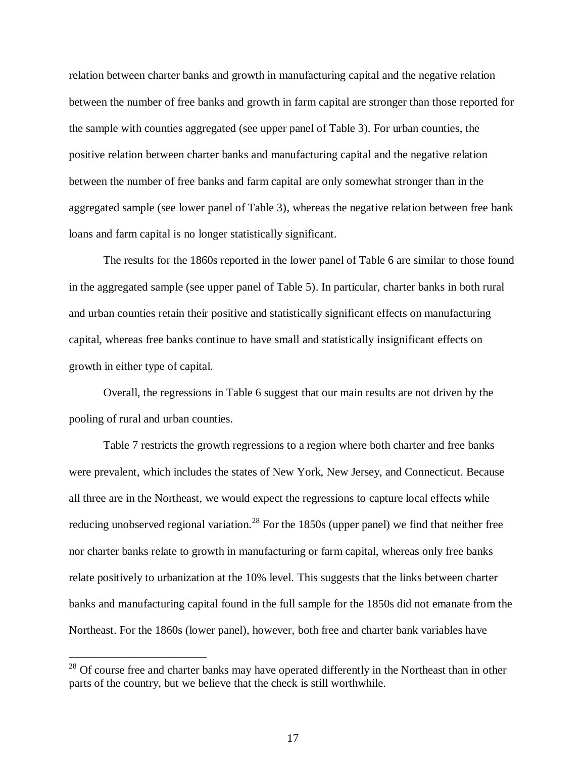relation between charter banks and growth in manufacturing capital and the negative relation between the number of free banks and growth in farm capital are stronger than those reported for the sample with counties aggregated (see upper panel of Table 3). For urban counties, the positive relation between charter banks and manufacturing capital and the negative relation between the number of free banks and farm capital are only somewhat stronger than in the aggregated sample (see lower panel of Table 3), whereas the negative relation between free bank loans and farm capital is no longer statistically significant.

The results for the 1860s reported in the lower panel of Table 6 are similar to those found in the aggregated sample (see upper panel of Table 5). In particular, charter banks in both rural and urban counties retain their positive and statistically significant effects on manufacturing capital, whereas free banks continue to have small and statistically insignificant effects on growth in either type of capital.

Overall, the regressions in Table 6 suggest that our main results are not driven by the pooling of rural and urban counties.

Table 7 restricts the growth regressions to a region where both charter and free banks were prevalent, which includes the states of New York, New Jersey, and Connecticut. Because all three are in the Northeast, we would expect the regressions to capture local effects while reducing unobserved regional variation.<sup>28</sup> For the 1850s (upper panel) we find that neither free nor charter banks relate to growth in manufacturing or farm capital, whereas only free banks relate positively to urbanization at the 10% level. This suggests that the links between charter banks and manufacturing capital found in the full sample for the 1850s did not emanate from the Northeast. For the 1860s (lower panel), however, both free and charter bank variables have

<sup>&</sup>lt;sup>28</sup> Of course free and charter banks may have operated differently in the Northeast than in other parts of the country, but we believe that the check is still worthwhile.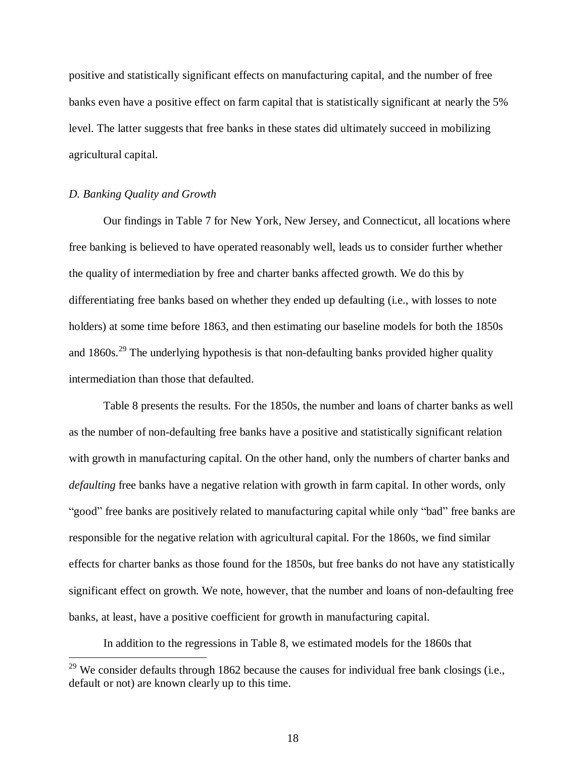positive and statistically significant effects on manufacturing capital, and the number of free banks even have a positive effect on farm capital that is statistically significant at nearly the 5% level. The latter suggests that free banks in these states did ultimately succeed in mobilizing agricultural capital.

#### *D. Banking Quality and Growth*

 $\overline{a}$ 

 Our findings in Table 7 for New York, New Jersey, and Connecticut, all locations where free banking is believed to have operated reasonably well, leads us to consider further whether the quality of intermediation by free and charter banks affected growth. We do this by differentiating free banks based on whether they ended up defaulting (i.e., with losses to note holders) at some time before 1863, and then estimating our baseline models for both the 1850s and  $1860s$ <sup>29</sup>. The underlying hypothesis is that non-defaulting banks provided higher quality intermediation than those that defaulted.

 Table 8 presents the results. For the 1850s, the number and loans of charter banks as well as the number of non-defaulting free banks have a positive and statistically significant relation with growth in manufacturing capital. On the other hand, only the numbers of charter banks and *defaulting* free banks have a negative relation with growth in farm capital. In other words, only "good" free banks are positively related to manufacturing capital while only "bad" free banks are responsible for the negative relation with agricultural capital. For the 1860s, we find similar effects for charter banks as those found for the 1850s, but free banks do not have any statistically significant effect on growth. We note, however, that the number and loans of non-defaulting free banks, at least, have a positive coefficient for growth in manufacturing capital.

In addition to the regressions in Table 8, we estimated models for the 1860s that

 $29$  We consider defaults through 1862 because the causes for individual free bank closings (i.e., default or not) are known clearly up to this time.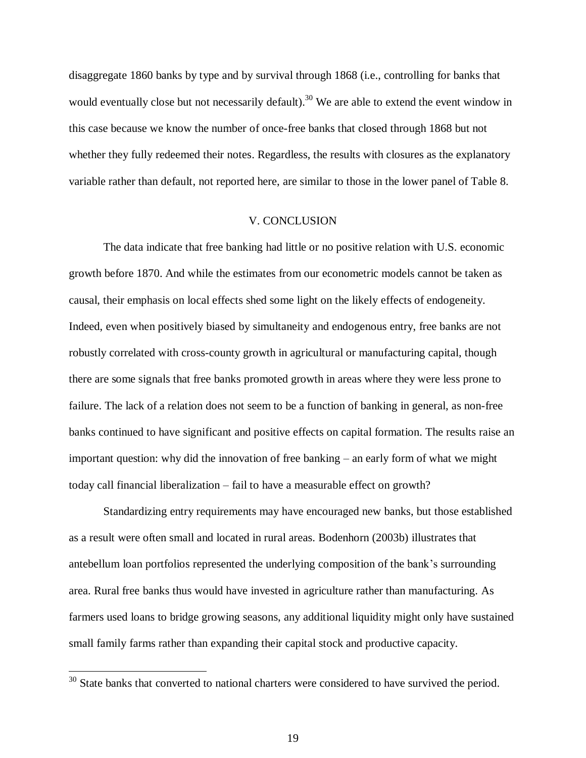disaggregate 1860 banks by type and by survival through 1868 (i.e., controlling for banks that would eventually close but not necessarily default).<sup>30</sup> We are able to extend the event window in this case because we know the number of once-free banks that closed through 1868 but not whether they fully redeemed their notes. Regardless, the results with closures as the explanatory variable rather than default, not reported here, are similar to those in the lower panel of Table 8.

## V. CONCLUSION

 The data indicate that free banking had little or no positive relation with U.S. economic growth before 1870. And while the estimates from our econometric models cannot be taken as causal, their emphasis on local effects shed some light on the likely effects of endogeneity. Indeed, even when positively biased by simultaneity and endogenous entry, free banks are not robustly correlated with cross-county growth in agricultural or manufacturing capital, though there are some signals that free banks promoted growth in areas where they were less prone to failure. The lack of a relation does not seem to be a function of banking in general, as non-free banks continued to have significant and positive effects on capital formation. The results raise an important question: why did the innovation of free banking – an early form of what we might today call financial liberalization – fail to have a measurable effect on growth?

 Standardizing entry requirements may have encouraged new banks, but those established as a result were often small and located in rural areas. Bodenhorn (2003b) illustrates that antebellum loan portfolios represented the underlying composition of the bank's surrounding area. Rural free banks thus would have invested in agriculture rather than manufacturing. As farmers used loans to bridge growing seasons, any additional liquidity might only have sustained small family farms rather than expanding their capital stock and productive capacity.

 $30$  State banks that converted to national charters were considered to have survived the period.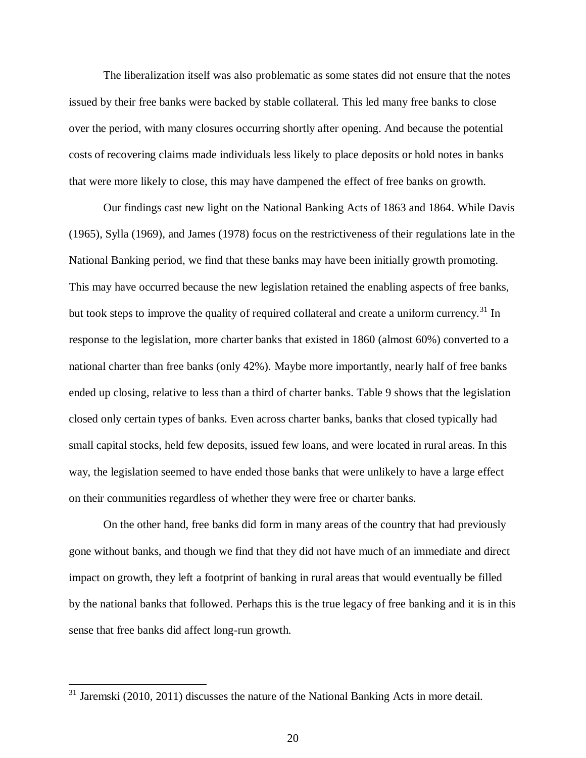The liberalization itself was also problematic as some states did not ensure that the notes issued by their free banks were backed by stable collateral. This led many free banks to close over the period, with many closures occurring shortly after opening. And because the potential costs of recovering claims made individuals less likely to place deposits or hold notes in banks that were more likely to close, this may have dampened the effect of free banks on growth.

Our findings cast new light on the National Banking Acts of 1863 and 1864. While Davis (1965), Sylla (1969), and James (1978) focus on the restrictiveness of their regulations late in the National Banking period, we find that these banks may have been initially growth promoting. This may have occurred because the new legislation retained the enabling aspects of free banks, but took steps to improve the quality of required collateral and create a uniform currency.<sup>31</sup> In response to the legislation, more charter banks that existed in 1860 (almost 60%) converted to a national charter than free banks (only 42%). Maybe more importantly, nearly half of free banks ended up closing, relative to less than a third of charter banks. Table 9 shows that the legislation closed only certain types of banks. Even across charter banks, banks that closed typically had small capital stocks, held few deposits, issued few loans, and were located in rural areas. In this way, the legislation seemed to have ended those banks that were unlikely to have a large effect on their communities regardless of whether they were free or charter banks.

On the other hand, free banks did form in many areas of the country that had previously gone without banks, and though we find that they did not have much of an immediate and direct impact on growth, they left a footprint of banking in rural areas that would eventually be filled by the national banks that followed. Perhaps this is the true legacy of free banking and it is in this sense that free banks did affect long-run growth.

 $31$  Jaremski (2010, 2011) discusses the nature of the National Banking Acts in more detail.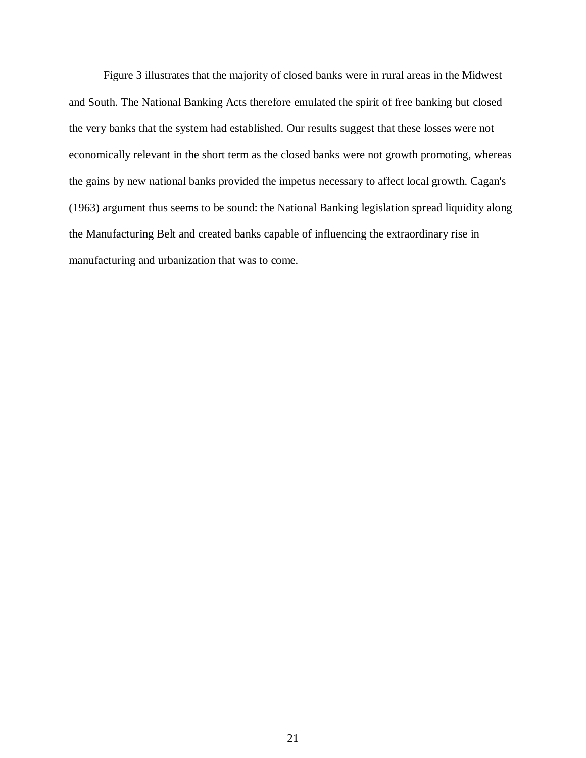Figure 3 illustrates that the majority of closed banks were in rural areas in the Midwest and South. The National Banking Acts therefore emulated the spirit of free banking but closed the very banks that the system had established. Our results suggest that these losses were not economically relevant in the short term as the closed banks were not growth promoting, whereas the gains by new national banks provided the impetus necessary to affect local growth. Cagan's (1963) argument thus seems to be sound: the National Banking legislation spread liquidity along the Manufacturing Belt and created banks capable of influencing the extraordinary rise in manufacturing and urbanization that was to come.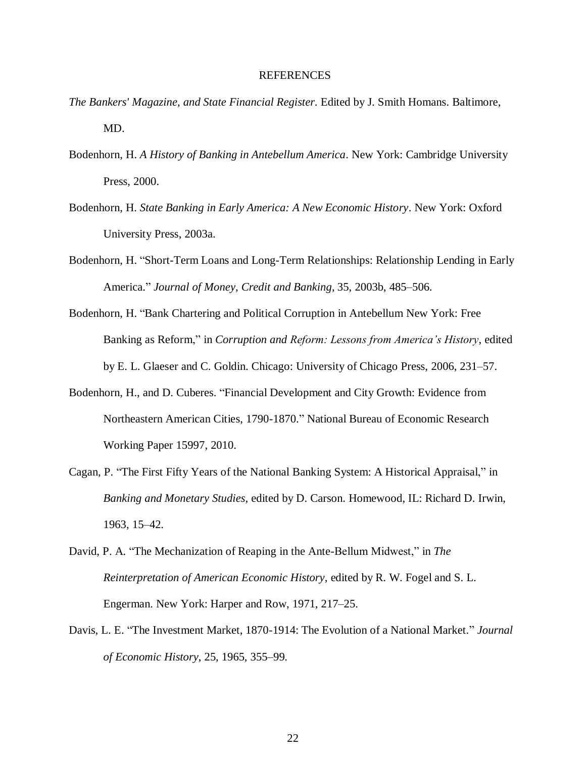#### REFERENCES

- *The Bankers' Magazine, and State Financial Register*. Edited by J. Smith Homans. Baltimore, MD.
- Bodenhorn, H. *A History of Banking in Antebellum America*. New York: Cambridge University Press, 2000.
- Bodenhorn, H. *State Banking in Early America: A New Economic History*. New York: Oxford University Press, 2003a.
- Bodenhorn, H. "Short-Term Loans and Long-Term Relationships: Relationship Lending in Early America." *Journal of Money, Credit and Banking*, 35, 2003b, 485–506.
- Bodenhorn, H. "Bank Chartering and Political Corruption in Antebellum New York: Free Banking as Reform," in *Corruption and Reform: Lessons from America's History*, edited by E. L. Glaeser and C. Goldin. Chicago: University of Chicago Press, 2006, 231–57.
- Bodenhorn, H., and D. Cuberes. "Financial Development and City Growth: Evidence from Northeastern American Cities, 1790-1870." National Bureau of Economic Research Working Paper 15997, 2010.
- Cagan, P. "The First Fifty Years of the National Banking System: A Historical Appraisal," in *Banking and Monetary Studies,* edited by D. Carson. Homewood, IL: Richard D. Irwin, 1963, 15–42.
- David, P. A. "The Mechanization of Reaping in the Ante-Bellum Midwest," in *The Reinterpretation of American Economic History*, edited by R. W. Fogel and S. L. Engerman. New York: Harper and Row, 1971, 217–25.
- Davis, L. E. "The Investment Market, 1870-1914: The Evolution of a National Market." *Journal of Economic History*, 25, 1965, 355–99.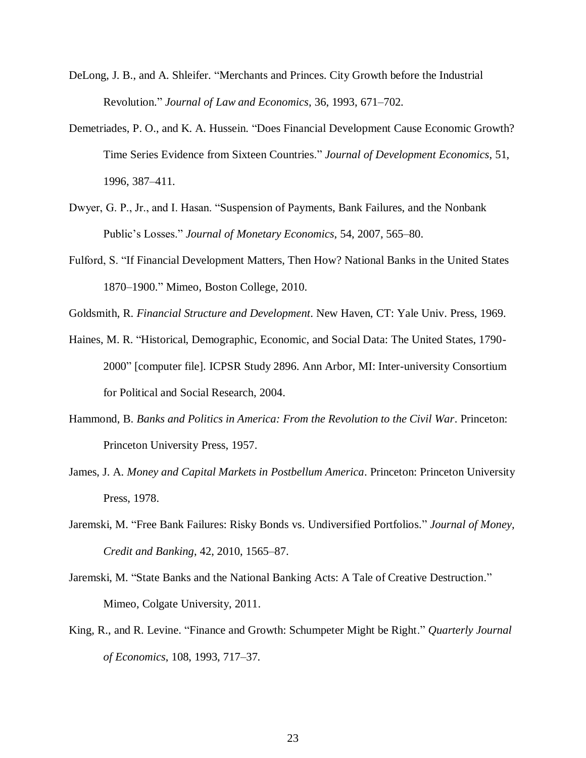- DeLong, J. B., and A. Shleifer. "Merchants and Princes. City Growth before the Industrial Revolution." *Journal of Law and Economics*, 36, 1993, 671–702.
- Demetriades, P. O., and K. A. Hussein. "Does Financial Development Cause Economic Growth? Time Series Evidence from Sixteen Countries." *Journal of Development Economics*, 51, 1996, 387–411.
- Dwyer, G. P., Jr., and I. Hasan. "Suspension of Payments, Bank Failures, and the Nonbank Public's Losses." *Journal of Monetary Economics*, 54, 2007, 565–80.
- Fulford, S. "If Financial Development Matters, Then How? National Banks in the United States 1870–1900." Mimeo, Boston College, 2010.
- Goldsmith, R. *Financial Structure and Development*. New Haven, CT: Yale Univ. Press, 1969.
- Haines, M. R. "Historical, Demographic, Economic, and Social Data: The United States, 1790- 2000" [computer file]. ICPSR Study 2896. Ann Arbor, MI: Inter-university Consortium for Political and Social Research, 2004.
- Hammond, B. *Banks and Politics in America: From the Revolution to the Civil War*. Princeton: Princeton University Press, 1957.
- James, J. A. *Money and Capital Markets in Postbellum America*. Princeton: Princeton University Press, 1978.
- Jaremski, M. "Free Bank Failures: Risky Bonds vs. Undiversified Portfolios." *Journal of Money, Credit and Banking*, 42, 2010, 1565–87.
- Jaremski, M. "State Banks and the National Banking Acts: A Tale of Creative Destruction." Mimeo, Colgate University, 2011.
- King, R., and R. Levine. "Finance and Growth: Schumpeter Might be Right." *Quarterly Journal of Economics*, 108, 1993, 717–37.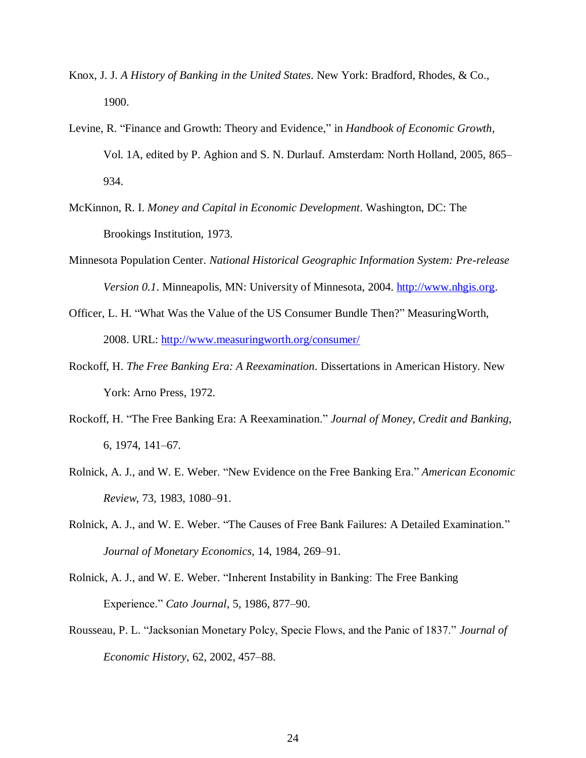- Knox, J. J. *A History of Banking in the United States*. New York: Bradford, Rhodes, & Co., 1900.
- Levine, R. "Finance and Growth: Theory and Evidence," in *Handbook of Economic Growth*, Vol. 1A, edited by P. Aghion and S. N. Durlauf. Amsterdam: North Holland, 2005, 865– 934.
- McKinnon, R. I. *Money and Capital in Economic Development*. Washington, DC: The Brookings Institution, 1973.
- Minnesota Population Center. *National Historical Geographic Information System: Pre-release Version 0.1*. Minneapolis, MN: University of Minnesota, 2004. [http://www.nhgis.org.](http://www.nhgis.org/)
- Officer, L. H. "What Was the Value of the US Consumer Bundle Then?" MeasuringWorth, 2008. URL: [http://www.measuringworth.org/consumer/](http://www.measuringworth.org/consumer/index.php)
- Rockoff, H. *The Free Banking Era: A Reexamination*. Dissertations in American History. New York: Arno Press, 1972.
- Rockoff, H. "The Free Banking Era: A Reexamination." *Journal of Money, Credit and Banking*, 6, 1974, 141–67.
- Rolnick, A. J., and W. E. Weber. "New Evidence on the Free Banking Era." *American Economic Review*, 73, 1983, 1080–91.
- Rolnick, A. J., and W. E. Weber. "The Causes of Free Bank Failures: A Detailed Examination." *Journal of Monetary Economics,* 14, 1984, 269–91.
- Rolnick, A. J., and W. E. Weber. "Inherent Instability in Banking: The Free Banking Experience." *Cato Journal*, 5, 1986, 877–90.
- Rousseau, P. L. "Jacksonian Monetary Polcy, Specie Flows, and the Panic of 1837." *Journal of Economic History*, 62, 2002, 457–88.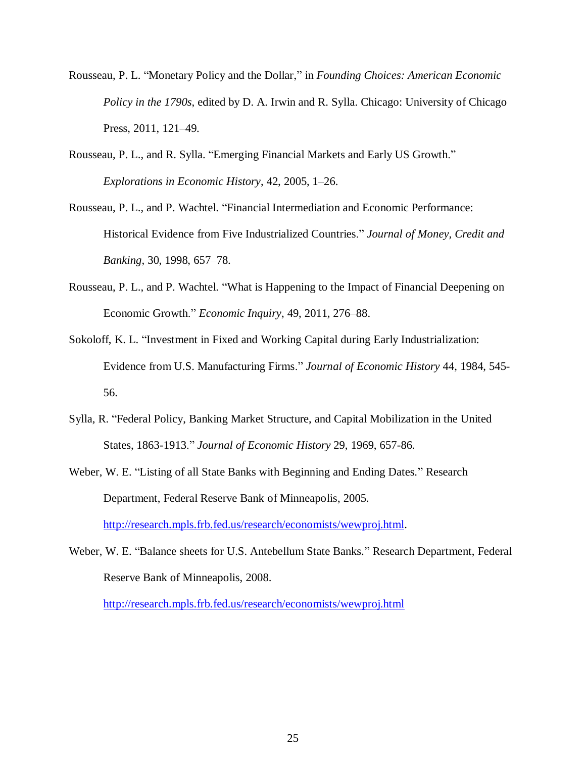- Rousseau, P. L. "Monetary Policy and the Dollar," in *Founding Choices: American Economic Policy in the 1790s*, edited by D. A. Irwin and R. Sylla. Chicago: University of Chicago Press, 2011, 121–49.
- Rousseau, P. L., and R. Sylla. "Emerging Financial Markets and Early US Growth." *Explorations in Economic History*, 42, 2005, 1–26.
- Rousseau, P. L., and P. Wachtel. "Financial Intermediation and Economic Performance: Historical Evidence from Five Industrialized Countries." *Journal of Money, Credit and Banking*, 30, 1998, 657–78.
- Rousseau, P. L., and P. Wachtel. "What is Happening to the Impact of Financial Deepening on Economic Growth." *Economic Inquiry*, 49, 2011, 276–88.
- Sokoloff, K. L. "Investment in Fixed and Working Capital during Early Industrialization: Evidence from U.S. Manufacturing Firms." *Journal of Economic History* 44, 1984, 545- 56.
- Sylla, R. "Federal Policy, Banking Market Structure, and Capital Mobilization in the United States, 1863-1913." *Journal of Economic History* 29, 1969, 657-86.
- Weber, W. E. "Listing of all State Banks with Beginning and Ending Dates." Research Department, Federal Reserve Bank of Minneapolis, 2005. [http://research.mpls.frb.fed.us/research/economists/wewproj.html.](http://research.mpls.frb.fed.us/research/economists/wewproj.html)
- Weber, W. E. "Balance sheets for U.S. Antebellum State Banks." Research Department, Federal Reserve Bank of Minneapolis, 2008.

<http://research.mpls.frb.fed.us/research/economists/wewproj.html>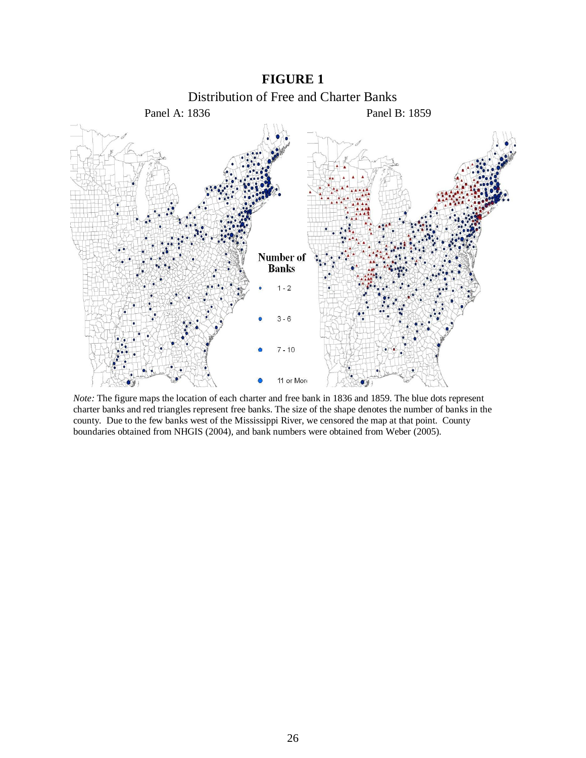



*Note:* The figure maps the location of each charter and free bank in 1836 and 1859. The blue dots represent charter banks and red triangles represent free banks. The size of the shape denotes the number of banks in the county. Due to the few banks west of the Mississippi River, we censored the map at that point. County boundaries obtained from NHGIS (2004), and bank numbers were obtained from Weber (2005).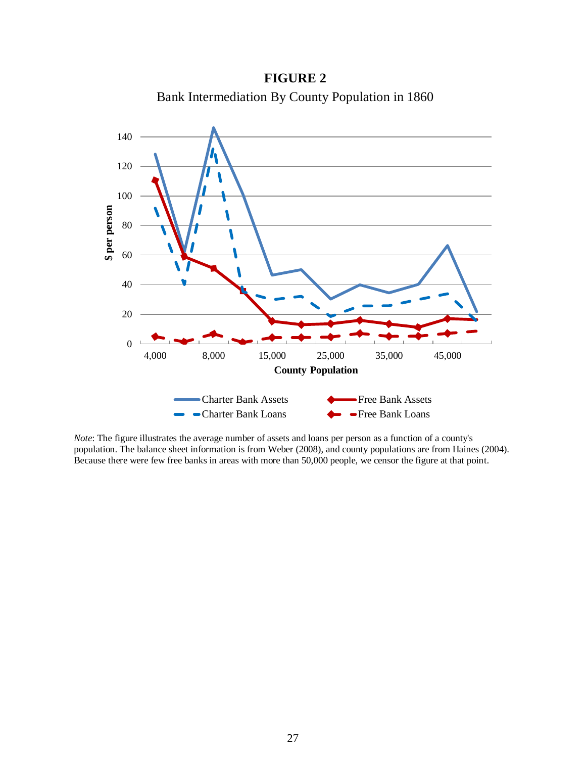**FIGURE 2** Bank Intermediation By County Population in 1860



*Note*: The figure illustrates the average number of assets and loans per person as a function of a county's population. The balance sheet information is from Weber (2008), and county populations are from Haines (2004). Because there were few free banks in areas with more than 50,000 people, we censor the figure at that point.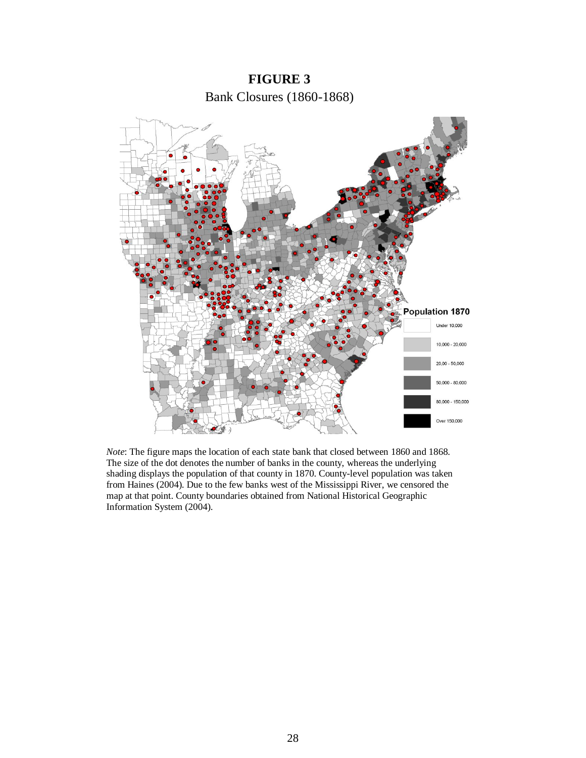

*Note*: The figure maps the location of each state bank that closed between 1860 and 1868. The size of the dot denotes the number of banks in the county, whereas the underlying shading displays the population of that county in 1870. County-level population was taken from Haines (2004). Due to the few banks west of the Mississippi River, we censored the map at that point. County boundaries obtained from National Historical Geographic Information System (2004).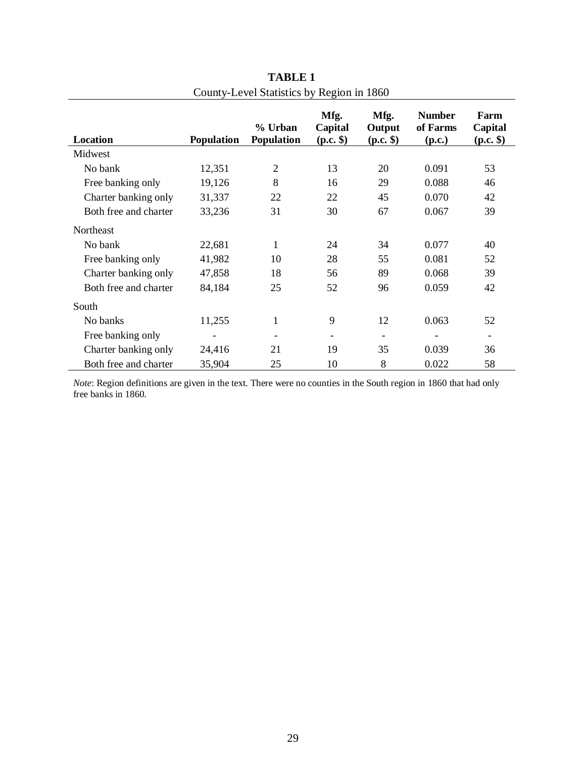| Location              | <b>Population</b>        | % Urban<br><b>Population</b> | Mfg.<br>Capital<br>$(p.c.$ \$) | Mfg.<br>Output<br>$(p.c.$ \$) | <b>Number</b><br>of Farms<br>(p.c.) | Farm<br>Capital<br>$(p.c.$ \$) |
|-----------------------|--------------------------|------------------------------|--------------------------------|-------------------------------|-------------------------------------|--------------------------------|
| Midwest               |                          |                              |                                |                               |                                     |                                |
| No bank               | 12,351                   | $\overline{2}$               | 13                             | 20                            | 0.091                               | 53                             |
| Free banking only     | 19,126                   | 8                            | 16                             | 29                            | 0.088                               | 46                             |
| Charter banking only  | 31,337                   | 22                           | 22                             | 45                            | 0.070                               | 42                             |
| Both free and charter | 33,236                   | 31                           | 30                             | 67                            | 0.067                               | 39                             |
| <b>Northeast</b>      |                          |                              |                                |                               |                                     |                                |
| No bank               | 22,681                   | 1                            | 24                             | 34                            | 0.077                               | 40                             |
| Free banking only     | 41,982                   | 10                           | 28                             | 55                            | 0.081                               | 52                             |
| Charter banking only  | 47,858                   | 18                           | 56                             | 89                            | 0.068                               | 39                             |
| Both free and charter | 84,184                   | 25                           | 52                             | 96                            | 0.059                               | 42                             |
| South                 |                          |                              |                                |                               |                                     |                                |
| No banks              | 11,255                   | $\mathbf{1}$                 | 9                              | 12                            | 0.063                               | 52                             |
| Free banking only     | $\overline{\phantom{a}}$ |                              |                                |                               |                                     | $\overline{\phantom{a}}$       |
| Charter banking only  | 24,416                   | 21                           | 19                             | 35                            | 0.039                               | 36                             |
| Both free and charter | 35,904                   | 25                           | 10                             | 8                             | 0.022                               | 58                             |

**TABLE 1** County-Level Statistics by Region in 1860

*Note*: Region definitions are given in the text. There were no counties in the South region in 1860 that had only free banks in 1860.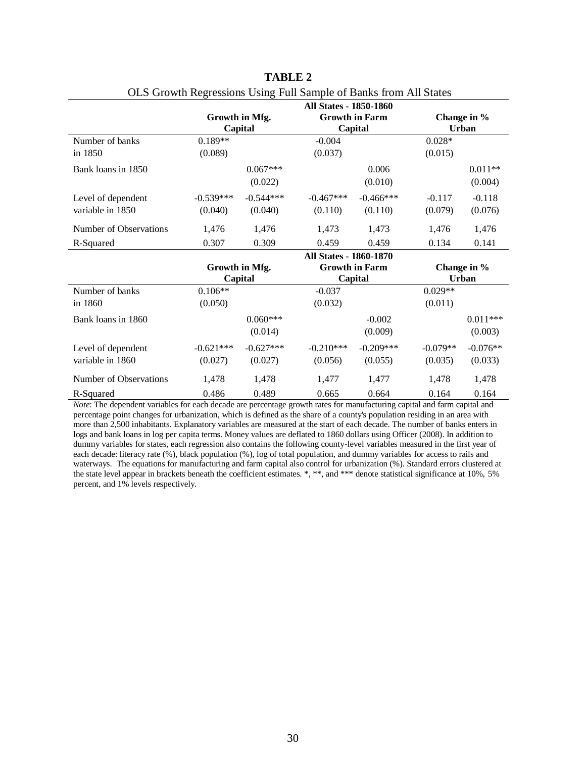|                        |             |                | <b>All States - 1850-1860</b> |                       |                |              |
|------------------------|-------------|----------------|-------------------------------|-----------------------|----------------|--------------|
|                        |             | Growth in Mfg. |                               | <b>Growth in Farm</b> |                | Change in %  |
|                        |             | Capital        |                               | Capital               |                | <b>Urban</b> |
| Number of banks        | $0.189**$   |                | $-0.004$                      |                       | $0.028^{\ast}$ |              |
| in 1850                | (0.089)     |                | (0.037)                       |                       | (0.015)        |              |
| Bank loans in 1850     |             | $0.067***$     |                               | 0.006                 |                | $0.011**$    |
|                        |             | (0.022)        |                               | (0.010)               |                | (0.004)      |
| Level of dependent     | $-0.539***$ | $-0.544***$    | $-0.467***$                   | $-0.466***$           | $-0.117$       | $-0.118$     |
| variable in 1850       | (0.040)     | (0.040)        | (0.110)                       | (0.110)               | (0.079)        | (0.076)      |
| Number of Observations | 1,476       | 1,476          | 1,473                         | 1,473                 | 1,476          | 1,476        |
| R-Squared              | 0.307       | 0.309          | 0.459                         | 0.459                 | 0.134          | 0.141        |
|                        |             |                | <b>All States - 1860-1870</b> |                       |                |              |
|                        |             | Growth in Mfg. |                               | <b>Growth in Farm</b> |                | Change in %  |
|                        |             | Capital        |                               | Capital               |                | <b>Urban</b> |
| Number of banks        | $0.106**$   |                | $-0.037$                      |                       | $0.029**$      |              |
| in 1860                | (0.050)     |                | (0.032)                       |                       | (0.011)        |              |
| Bank loans in 1860     |             | $0.060***$     |                               | $-0.002$              |                | $0.011***$   |
|                        |             | (0.014)        |                               | (0.009)               |                | (0.003)      |
| Level of dependent     | $-0.621***$ | $-0.627***$    | $-0.210***$                   | $-0.209***$           | $-0.079**$     | $-0.076**$   |
| variable in 1860       | (0.027)     | (0.027)        | (0.056)                       | (0.055)               | (0.035)        | (0.033)      |
| Number of Observations | 1,478       | 1,478          | 1,477                         | 1,477                 | 1,478          | 1,478        |
| R-Squared              | 0.486       | 0.489          | 0.665                         | 0.664                 | 0.164          | 0.164        |

| <b>TABLE 2</b>                                                    |
|-------------------------------------------------------------------|
| OLS Growth Regressions Using Full Sample of Banks from All States |

*Note*: The dependent variables for each decade are percentage growth rates for manufacturing capital and farm capital and percentage point changes for urbanization, which is defined as the share of a county's population residing in an area with more than 2,500 inhabitants. Explanatory variables are measured at the start of each decade. The number of banks enters in logs and bank loans in log per capita terms. Money values are deflated to 1860 dollars using Officer (2008). In addition to dummy variables for states, each regression also contains the following county-level variables measured in the first year of each decade: literacy rate (%), black population (%), log of total population, and dummy variables for access to rails and waterways. The equations for manufacturing and farm capital also control for urbanization (%). Standard errors clustered at the state level appear in brackets beneath the coefficient estimates. \*, \*\*, and \*\*\* denote statistical significance at 10%, 5% percent, and 1% levels respectively.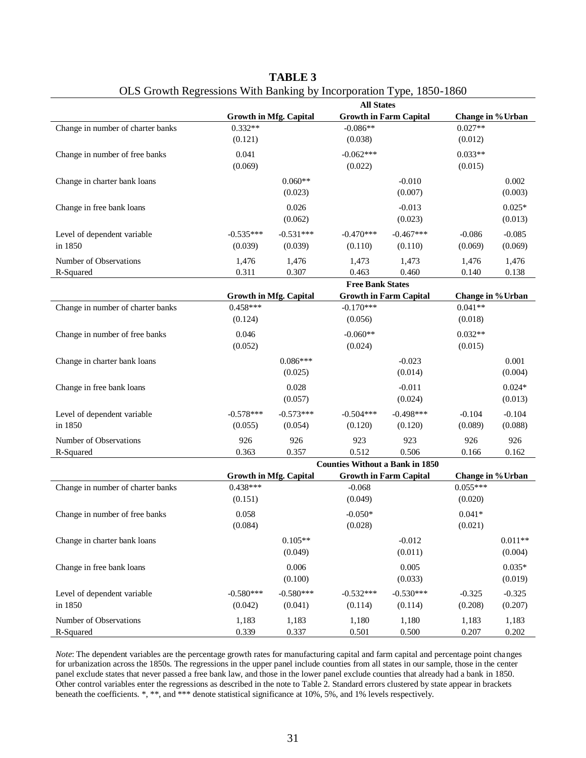|                                        |                |                               | <b>All States</b>                               |                |                     |                     |  |
|----------------------------------------|----------------|-------------------------------|-------------------------------------------------|----------------|---------------------|---------------------|--|
|                                        |                | <b>Growth in Mfg. Capital</b> | <b>Growth in Farm Capital</b>                   |                | Change in % Urban   |                     |  |
| Change in number of charter banks      | $0.332**$      |                               | $-0.086**$                                      |                | $0.027**$           |                     |  |
|                                        | (0.121)        |                               | (0.038)                                         |                | (0.012)             |                     |  |
| Change in number of free banks         | 0.041          |                               | $-0.062***$                                     |                | $0.033**$           |                     |  |
|                                        | (0.069)        |                               | (0.022)                                         |                | (0.015)             |                     |  |
| Change in charter bank loans           |                | $0.060**$                     |                                                 | $-0.010$       |                     | 0.002               |  |
|                                        |                | (0.023)                       |                                                 | (0.007)        |                     | (0.003)             |  |
| Change in free bank loans              |                | 0.026                         |                                                 | $-0.013$       |                     | $0.025*$            |  |
|                                        |                | (0.062)                       |                                                 | (0.023)        |                     | (0.013)             |  |
| Level of dependent variable            | $-0.535***$    | $-0.531***$                   | $-0.470***$                                     | $-0.467***$    | $-0.086$            | $-0.085$            |  |
| in 1850                                | (0.039)        | (0.039)                       | (0.110)                                         | (0.110)        | (0.069)             | (0.069)             |  |
|                                        |                |                               |                                                 |                |                     |                     |  |
| Number of Observations<br>R-Squared    | 1,476<br>0.311 | 1,476<br>0.307                | 1,473<br>0.463                                  | 1,473<br>0.460 | 1,476<br>0.140      | 1,476<br>0.138      |  |
|                                        |                |                               | <b>Free Bank States</b>                         |                |                     |                     |  |
|                                        |                | <b>Growth in Mfg. Capital</b> | <b>Growth in Farm Capital</b>                   |                | Change in % Urban   |                     |  |
| Change in number of charter banks      | $0.458***$     |                               | $-0.170***$                                     |                | $0.041**$           |                     |  |
|                                        | (0.124)        |                               | (0.056)                                         |                | (0.018)             |                     |  |
| Change in number of free banks         | 0.046          |                               | $-0.060**$                                      |                | $0.032**$           |                     |  |
|                                        | (0.052)        |                               | (0.024)                                         |                | (0.015)             |                     |  |
| Change in charter bank loans           |                | $0.086***$                    |                                                 | $-0.023$       |                     | 0.001               |  |
|                                        |                | (0.025)                       |                                                 | (0.014)        |                     | (0.004)             |  |
| Change in free bank loans              |                | 0.028                         |                                                 | $-0.011$       |                     | $0.024*$            |  |
|                                        |                | (0.057)                       |                                                 | (0.024)        |                     | (0.013)             |  |
|                                        | $-0.578***$    | $-0.573***$                   | $-0.504***$                                     | $-0.498***$    |                     |                     |  |
| Level of dependent variable<br>in 1850 | (0.055)        | (0.054)                       | (0.120)                                         | (0.120)        | $-0.104$<br>(0.089) | $-0.104$<br>(0.088) |  |
|                                        |                |                               |                                                 |                |                     |                     |  |
| Number of Observations                 | 926            | 926                           | 923                                             | 923            | 926                 | 926                 |  |
| R-Squared                              | 0.363          | 0.357                         | 0.512<br><b>Counties Without a Bank in 1850</b> | 0.506          | 0.166               | 0.162               |  |
|                                        |                | <b>Growth in Mfg. Capital</b> | <b>Growth in Farm Capital</b>                   |                | Change in % Urban   |                     |  |
| Change in number of charter banks      | $0.438***$     |                               | $-0.068$                                        |                | $0.055***$          |                     |  |
|                                        | (0.151)        |                               | (0.049)                                         |                | (0.020)             |                     |  |
| Change in number of free banks         | 0.058          |                               | $-0.050*$                                       |                | $0.041*$            |                     |  |
|                                        | (0.084)        |                               | (0.028)                                         |                | (0.021)             |                     |  |
| Change in charter bank loans           |                | $0.105**$                     |                                                 | $-0.012$       |                     | $0.011**$           |  |
|                                        |                | (0.049)                       |                                                 | (0.011)        |                     | (0.004)             |  |
|                                        |                |                               |                                                 |                |                     |                     |  |
| Change in free bank loans              |                | 0.006                         |                                                 | 0.005          |                     | $0.035*$            |  |
|                                        |                | (0.100)                       |                                                 | (0.033)        |                     | (0.019)             |  |
| Level of dependent variable            | $-0.580***$    | $-0.580***$                   | $-0.532***$                                     | $-0.530***$    | $-0.325$            | $-0.325$            |  |
| in 1850                                | (0.042)        | (0.041)                       | (0.114)                                         | (0.114)        | (0.208)             | (0.207)             |  |
| Number of Observations                 | 1,183          | 1,183                         | 1,180                                           | 1,180          | 1,183               | 1,183               |  |
| R-Squared                              | 0.339          | 0.337                         | 0.501                                           | 0.500          | 0.207               | 0.202               |  |

| <b>TABLE 3</b>                                                       |  |
|----------------------------------------------------------------------|--|
| OLS Growth Regressions With Banking by Incorporation Type, 1850-1860 |  |

*Note*: The dependent variables are the percentage growth rates for manufacturing capital and farm capital and percentage point changes for urbanization across the 1850s. The regressions in the upper panel include counties from all states in our sample, those in the center panel exclude states that never passed a free bank law, and those in the lower panel exclude counties that already had a bank in 1850. Other control variables enter the regressions as described in the note to Table 2. Standard errors clustered by state appear in brackets beneath the coefficients. \*, \*\*, and \*\*\* denote statistical significance at 10%, 5%, and 1% levels respectively.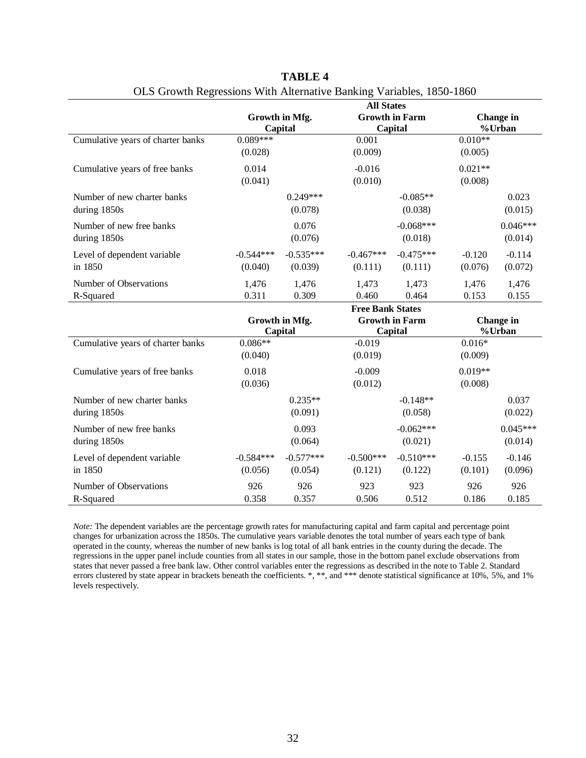|                                             |                        | Growth in Mfg.<br>Capital | <b>All States</b>       | <b>Growth in Farm</b><br>Capital |                      | <b>Change</b> in<br>%Urban |
|---------------------------------------------|------------------------|---------------------------|-------------------------|----------------------------------|----------------------|----------------------------|
| Cumulative years of charter banks           | $0.089***$<br>(0.028)  |                           | 0.001<br>(0.009)        |                                  | $0.010**$<br>(0.005) |                            |
| Cumulative years of free banks              | 0.014<br>(0.041)       |                           | $-0.016$<br>(0.010)     |                                  | $0.021**$<br>(0.008) |                            |
| Number of new charter banks<br>during 1850s |                        | $0.249***$<br>(0.078)     |                         | $-0.085**$<br>(0.038)            |                      | 0.023<br>(0.015)           |
| Number of new free banks<br>during 1850s    |                        | 0.076<br>(0.076)          |                         | $-0.068***$<br>(0.018)           |                      | $0.046***$<br>(0.014)      |
| Level of dependent variable<br>in 1850      | $-0.544***$<br>(0.040) | $-0.535***$<br>(0.039)    | $-0.467***$<br>(0.111)  | $-0.475***$<br>(0.111)           | $-0.120$<br>(0.076)  | $-0.114$<br>(0.072)        |
| Number of Observations<br>R-Squared         | 1,476<br>0.311         | 1,476<br>0.309            | 1,473<br>0.460          | 1,473<br>0.464                   | 1,476<br>0.153       | 1,476<br>0.155             |
|                                             |                        | Growth in Mfg.            | <b>Free Bank States</b> | <b>Growth in Farm</b><br>Capital |                      | <b>Change</b> in<br>%Urban |
|                                             | Capital                |                           |                         |                                  |                      |                            |
| Cumulative years of charter banks           | $0.086**$<br>(0.040)   |                           | $-0.019$<br>(0.019)     |                                  | $0.016*$<br>(0.009)  |                            |
| Cumulative years of free banks              | 0.018<br>(0.036)       |                           | $-0.009$<br>(0.012)     |                                  | $0.019**$<br>(0.008) |                            |
| Number of new charter banks<br>during 1850s |                        | $0.235**$<br>(0.091)      |                         | $-0.148**$<br>(0.058)            |                      | 0.037<br>(0.022)           |
| Number of new free banks<br>during 1850s    |                        | 0.093<br>(0.064)          |                         | $-0.062***$<br>(0.021)           |                      | $0.045***$<br>(0.014)      |
| Level of dependent variable<br>in 1850      | $-0.584***$<br>(0.056) | $-0.577***$<br>(0.054)    | $-0.500***$<br>(0.121)  | $-0.510***$<br>(0.122)           | $-0.155$<br>(0.101)  | $-0.146$<br>(0.096)        |

| TABLE 4                                                              |  |
|----------------------------------------------------------------------|--|
| OLS Growth Regressions With Alternative Banking Variables, 1850-1860 |  |

*Note:* The dependent variables are the percentage growth rates for manufacturing capital and farm capital and percentage point changes for urbanization across the 1850s. The cumulative years variable denotes the total number of years each type of bank operated in the county, whereas the number of new banks is log total of all bank entries in the county during the decade. The regressions in the upper panel include counties from all states in our sample, those in the bottom panel exclude observations from states that never passed a free bank law. Other control variables enter the regressions as described in the note to Table 2. Standard errors clustered by state appear in brackets beneath the coefficients. \*, \*\*, and \*\*\* denote statistical significance at 10%, 5%, and 1% levels respectively.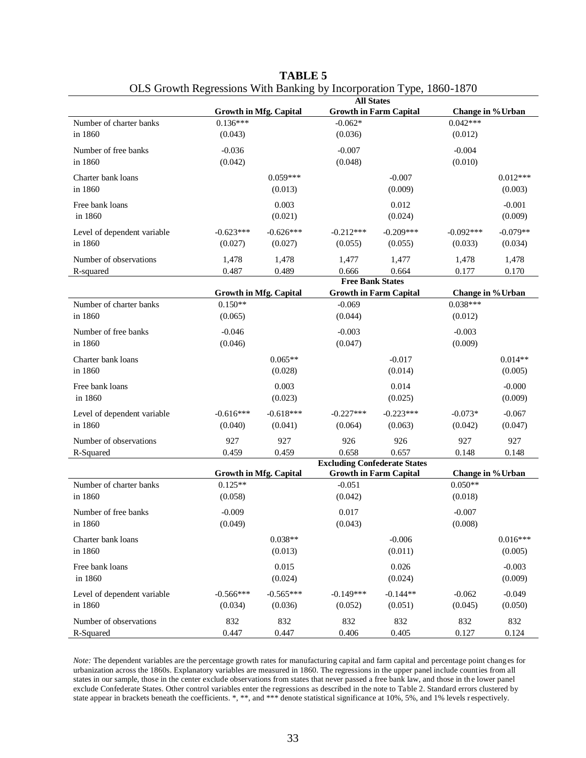|                                        |                        |                               | <b>All States</b>                   |                               |                                 |                       |
|----------------------------------------|------------------------|-------------------------------|-------------------------------------|-------------------------------|---------------------------------|-----------------------|
|                                        |                        | <b>Growth in Mfg. Capital</b> |                                     | <b>Growth in Farm Capital</b> | Change in % Urban               |                       |
| Number of charter banks<br>in 1860     | $0.136***$<br>(0.043)  |                               | $-0.062*$<br>(0.036)                |                               | $0.042***$<br>(0.012)           |                       |
| Number of free banks<br>in 1860        | $-0.036$<br>(0.042)    |                               | $-0.007$<br>(0.048)                 |                               | $-0.004$<br>(0.010)             |                       |
| Charter bank loans<br>in 1860          |                        | $0.059***$<br>(0.013)         |                                     | $-0.007$<br>(0.009)           |                                 | $0.012***$<br>(0.003) |
| Free bank loans<br>in 1860             |                        | 0.003<br>(0.021)              |                                     | 0.012<br>(0.024)              |                                 | $-0.001$<br>(0.009)   |
| Level of dependent variable<br>in 1860 | $-0.623***$<br>(0.027) | $-0.626***$<br>(0.027)        | $-0.212***$<br>(0.055)              | $-0.209***$<br>(0.055)        | $-0.092***$<br>(0.033)          | $-0.079**$<br>(0.034) |
| Number of observations<br>R-squared    | 1,478<br>0.487         | 1,478<br>0.489                | 1,477<br>0.666                      | 1,477<br>0.664                | 1,478<br>0.177                  | 1,478<br>0.170        |
|                                        |                        |                               | <b>Free Bank States</b>             |                               |                                 |                       |
| Number of charter banks                | $0.150**$              | <b>Growth in Mfg. Capital</b> | $-0.069$                            | <b>Growth in Farm Capital</b> | Change in % Urban<br>$0.038***$ |                       |
| in 1860                                | (0.065)                |                               | (0.044)                             |                               | (0.012)                         |                       |
| Number of free banks<br>in 1860        | $-0.046$<br>(0.046)    |                               | $-0.003$<br>(0.047)                 |                               | $-0.003$<br>(0.009)             |                       |
| Charter bank loans<br>in 1860          |                        | $0.065**$<br>(0.028)          |                                     | $-0.017$<br>(0.014)           |                                 | $0.014**$<br>(0.005)  |
| Free bank loans<br>in 1860             |                        | 0.003<br>(0.023)              |                                     | 0.014<br>(0.025)              |                                 | $-0.000$<br>(0.009)   |
| Level of dependent variable<br>in 1860 | $-0.616***$<br>(0.040) | $-0.618***$<br>(0.041)        | $-0.227***$<br>(0.064)              | $-0.223***$<br>(0.063)        | $-0.073*$<br>(0.042)            | $-0.067$<br>(0.047)   |
| Number of observations<br>R-Squared    | 927<br>0.459           | 927<br>0.459                  | 926<br>0.658                        | 926<br>0.657                  | 927<br>0.148                    | 927<br>0.148          |
|                                        |                        |                               | <b>Excluding Confederate States</b> |                               |                                 |                       |
| Number of charter banks                | $0.125**$              | <b>Growth in Mfg. Capital</b> | $-0.051$                            | <b>Growth in Farm Capital</b> | Change in % Urban<br>$0.050**$  |                       |
| in 1860                                | (0.058)                |                               | (0.042)                             |                               | (0.018)                         |                       |
| Number of free banks<br>in 1860        | $-0.009$<br>(0.049)    |                               | 0.017<br>(0.043)                    |                               | $-0.007$<br>(0.008)             |                       |
| Charter bank loans<br>in 1860          |                        | $0.038**$<br>(0.013)          |                                     | $-0.006$<br>(0.011)           |                                 | $0.016***$<br>(0.005) |
| Free bank loans<br>in 1860             |                        | 0.015<br>(0.024)              |                                     | 0.026<br>(0.024)              |                                 | $-0.003$<br>(0.009)   |
| Level of dependent variable<br>in 1860 | $-0.566***$<br>(0.034) | $-0.565***$<br>(0.036)        | $-0.149***$<br>(0.052)              | $-0.144**$<br>(0.051)         | $-0.062$<br>(0.045)             | $-0.049$<br>(0.050)   |
| Number of observations<br>R-Squared    | 832<br>0.447           | 832<br>0.447                  | 832<br>0.406                        | 832<br>0.405                  | 832<br>0.127                    | 832<br>0.124          |

| <b>TABLE 5</b>                                                       |
|----------------------------------------------------------------------|
| OLS Growth Regressions With Banking by Incorporation Type, 1860-1870 |

*Note:* The dependent variables are the percentage growth rates for manufacturing capital and farm capital and percentage point changes for urbanization across the 1860s. Explanatory variables are measured in 1860. The regressions in the upper panel include counties from all states in our sample, those in the center exclude observations from states that never passed a free bank law, and those in th e lower panel exclude Confederate States. Other control variables enter the regressions as described in the note to Table 2. Standard errors clustered by state appear in brackets beneath the coefficients. \*, \*\*, and \*\*\* denote statistical significance at 10%, 5%, and 1% levels r espectively.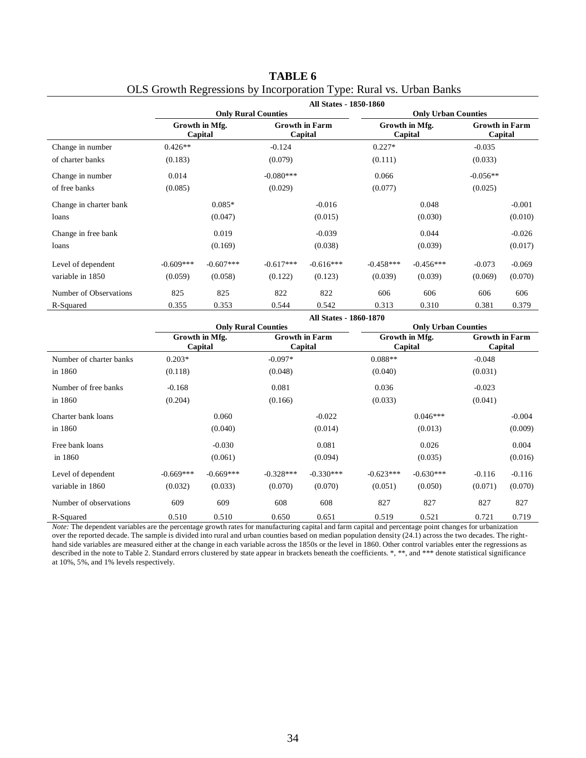|                        |             |                           |                            | <b>All States - 1850-1860</b>    |                            |                           |                                  |          |  |  |
|------------------------|-------------|---------------------------|----------------------------|----------------------------------|----------------------------|---------------------------|----------------------------------|----------|--|--|
|                        |             |                           | <b>Only Rural Counties</b> |                                  | <b>Only Urban Counties</b> |                           |                                  |          |  |  |
|                        |             | Growth in Mfg.<br>Capital |                            | <b>Growth in Farm</b><br>Capital |                            | Growth in Mfg.<br>Capital | <b>Growth in Farm</b><br>Capital |          |  |  |
| Change in number       | $0.426**$   |                           | $-0.124$                   |                                  | $0.227*$                   |                           | $-0.035$                         |          |  |  |
| of charter banks       | (0.183)     |                           | (0.079)                    |                                  | (0.111)                    |                           | (0.033)                          |          |  |  |
| Change in number       | 0.014       |                           | $-0.080***$                |                                  | 0.066                      |                           | $-0.056**$                       |          |  |  |
| of free banks          | (0.085)     |                           | (0.029)                    |                                  | (0.077)                    |                           | (0.025)                          |          |  |  |
| Change in charter bank |             | $0.085*$                  |                            | $-0.016$                         |                            | 0.048                     |                                  | $-0.001$ |  |  |
| loans                  |             | (0.047)                   |                            | (0.015)                          |                            | (0.030)                   |                                  | (0.010)  |  |  |
| Change in free bank    |             | 0.019                     |                            | $-0.039$                         |                            | 0.044                     |                                  | $-0.026$ |  |  |
| loans                  |             | (0.169)                   |                            | (0.038)                          |                            | (0.039)                   |                                  | (0.017)  |  |  |
| Level of dependent     | $-0.609***$ | $-0.607***$               | $-0.617***$                | $-0.616***$                      | $-0.458***$                | $-0.456***$               | $-0.073$                         | $-0.069$ |  |  |
| variable in 1850       | (0.059)     | (0.058)                   | (0.122)                    | (0.123)                          | (0.039)                    | (0.039)                   | (0.069)                          | (0.070)  |  |  |
| Number of Observations | 825         | 825                       | 822                        | 822                              | 606                        | 606                       | 606                              | 606      |  |  |
| R-Squared              | 0.355       | 0.353                     | 0.544                      | 0.542                            | 0.313                      | 0.310                     | 0.381                            | 0.379    |  |  |

| TABLE 6                                                             |  |
|---------------------------------------------------------------------|--|
| OLS Growth Regressions by Incorporation Type: Rural vs. Urban Banks |  |

|                                                         | <b>All States - 1860-1870</b> |                            |             |                       |                            |                |                       |          |
|---------------------------------------------------------|-------------------------------|----------------------------|-------------|-----------------------|----------------------------|----------------|-----------------------|----------|
|                                                         |                               | <b>Only Rural Counties</b> |             |                       | <b>Only Urban Counties</b> |                |                       |          |
|                                                         |                               | Growth in Mfg.             |             | <b>Growth in Farm</b> |                            | Growth in Mfg. | <b>Growth in Farm</b> |          |
|                                                         |                               | Capital                    |             | Capital               |                            | Capital        | Capital               |          |
| Number of charter banks                                 | $0.203*$                      |                            | $-0.097*$   |                       | $0.088**$                  |                | $-0.048$              |          |
| in 1860                                                 | (0.118)                       |                            | (0.048)     |                       | (0.040)                    |                | (0.031)               |          |
| Number of free banks                                    | $-0.168$                      |                            | 0.081       |                       | 0.036                      |                | $-0.023$              |          |
| in 1860                                                 | (0.204)                       |                            | (0.166)     |                       | (0.033)                    |                | (0.041)               |          |
| Charter bank loans                                      |                               | 0.060                      |             | $-0.022$              |                            | $0.046***$     |                       | $-0.004$ |
| in 1860                                                 |                               | (0.040)                    |             | (0.014)               |                            | (0.013)        |                       | (0.009)  |
| Free bank loans                                         |                               | $-0.030$                   |             | 0.081                 |                            | 0.026          |                       | 0.004    |
| in 1860                                                 |                               | (0.061)                    |             | (0.094)               |                            | (0.035)        |                       | (0.016)  |
| Level of dependent                                      | $-0.669***$                   | $-0.669***$                | $-0.328***$ | $-0.330***$           | $-0.623***$                | $-0.630***$    | $-0.116$              | $-0.116$ |
| variable in 1860                                        | (0.032)                       | (0.033)                    | (0.070)     | (0.070)               | (0.051)                    | (0.050)        | (0.071)               | (0.070)  |
| Number of observations                                  | 609                           | 609                        | 608         | 608                   | 827                        | 827            | 827                   | 827      |
| R-Squared<br>$\cdots$<br>m <sub>1</sub><br>$\mathbf{1}$ | 0.510                         | 0.510                      | 0.650       | 0.651<br>$\mathbf{r}$ | 0.519<br>$\cdot$ $\cdot$   | 0.521<br>.     | 0.721                 | 0.719    |

*Note:* The dependent variables are the percentage growth rates for manufacturing capital and farm capital and percentage point changes for urbanization over the reported decade. The sample is divided into rural and urban counties based on median population density (24.1) across the two decades. The righthand side variables are measured either at the change in each variable across the 1850s or the level in 1860. Other control variables enter the regressions as described in the note to Table 2. Standard errors clustered by state appear in brackets beneath the coefficients. \*, \*\*, and \*\*\* denote statistical significance at 10%, 5%, and 1% levels respectively.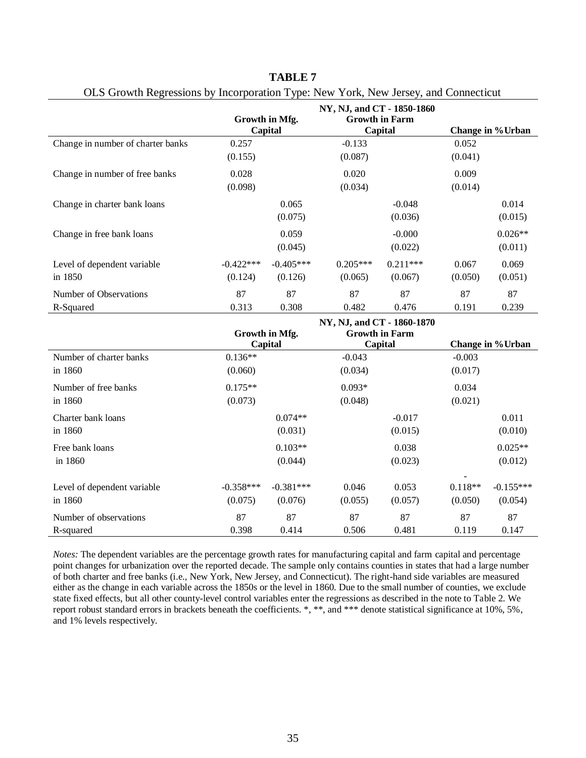|                                   | ╯┸<br>Growth in Mfg.<br>Capital |             | NY, NJ, and CT - 1850-1860<br><b>Growth in Farm</b><br>Capital |            | Change in % Urban |                   |
|-----------------------------------|---------------------------------|-------------|----------------------------------------------------------------|------------|-------------------|-------------------|
| Change in number of charter banks | 0.257                           |             | $-0.133$                                                       |            | 0.052             |                   |
|                                   | (0.155)                         |             | (0.087)                                                        |            | (0.041)           |                   |
| Change in number of free banks    | 0.028                           |             | 0.020                                                          |            | 0.009             |                   |
|                                   | (0.098)                         |             | (0.034)                                                        |            | (0.014)           |                   |
| Change in charter bank loans      |                                 | 0.065       |                                                                | $-0.048$   |                   | 0.014             |
|                                   |                                 | (0.075)     |                                                                | (0.036)    |                   | (0.015)           |
| Change in free bank loans         |                                 | 0.059       |                                                                | $-0.000$   |                   | $0.026**$         |
|                                   |                                 | (0.045)     |                                                                | (0.022)    |                   | (0.011)           |
| Level of dependent variable       | $-0.422***$                     | $-0.405***$ | $0.205***$                                                     | $0.211***$ | 0.067             | 0.069             |
| in 1850                           | (0.124)                         | (0.126)     | (0.065)                                                        | (0.067)    | (0.050)           | (0.051)           |
| Number of Observations            | 87                              | 87          | 87                                                             | 87         | 87                | 87                |
| R-Squared                         | 0.313                           | 0.308       | 0.482                                                          | 0.476      | 0.191             | 0.239             |
|                                   | Growth in Mfg.<br>Capital       |             | NY, NJ, and CT - 1860-1870<br><b>Growth in Farm</b><br>Capital |            |                   | Change in % Urban |

**TABLE 7** OLS Growth Regressions by Incorporation Type: New York, New Jersey, and Connecticut

|                             | NY, NJ, and CT - 1860-1870 |                           |          |                                  |           |                  |  |
|-----------------------------|----------------------------|---------------------------|----------|----------------------------------|-----------|------------------|--|
|                             |                            | Growth in Mfg.<br>Capital |          | <b>Growth in Farm</b><br>Capital |           | Change in %Urban |  |
| Number of charter banks     | $0.136**$                  |                           | $-0.043$ |                                  | $-0.003$  |                  |  |
| in 1860                     | (0.060)                    |                           | (0.034)  |                                  | (0.017)   |                  |  |
| Number of free banks        | $0.175**$                  |                           | $0.093*$ |                                  | 0.034     |                  |  |
| in 1860                     | (0.073)                    |                           | (0.048)  |                                  | (0.021)   |                  |  |
| Charter bank loans          |                            | $0.074**$                 |          | $-0.017$                         |           | 0.011            |  |
| in 1860                     |                            | (0.031)                   |          | (0.015)                          |           | (0.010)          |  |
| Free bank loans             |                            | $0.103**$                 |          | 0.038                            |           | $0.025**$        |  |
| in 1860                     |                            | (0.044)                   |          | (0.023)                          |           | (0.012)          |  |
| Level of dependent variable | $-0.358***$                | $-0.381***$               | 0.046    | 0.053                            | $0.118**$ | $-0.155***$      |  |
| in 1860                     | (0.075)                    | (0.076)                   | (0.055)  | (0.057)                          | (0.050)   | (0.054)          |  |
| Number of observations      | 87                         | 87                        | 87       | 87                               | 87        | 87               |  |
| R-squared                   | 0.398                      | 0.414                     | 0.506    | 0.481                            | 0.119     | 0.147            |  |

*Notes:* The dependent variables are the percentage growth rates for manufacturing capital and farm capital and percentage point changes for urbanization over the reported decade. The sample only contains counties in states that had a large number of both charter and free banks (i.e., New York, New Jersey, and Connecticut). The right-hand side variables are measured either as the change in each variable across the 1850s or the level in 1860. Due to the small number of counties, we exclude state fixed effects, but all other county-level control variables enter the regressions as described in the note to Table 2. We report robust standard errors in brackets beneath the coefficients. \*, \*\*, and \*\*\* denote statistical significance at 10%, 5%, and 1% levels respectively.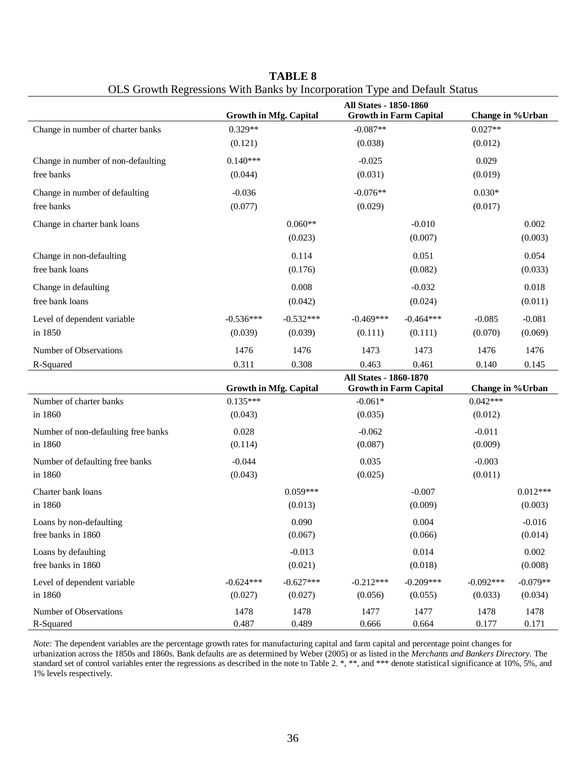|                                     | <b>Growth in Mfg. Capital</b>               |                 | $\sigma$ of $\sigma$ of $\sigma$ and $\sigma$ of $\sigma$ and $\sigma$ and $\sigma$ of $\sigma$ and $\sigma$ of $\sigma$ of $\sigma$ of $\sigma$ of $\sigma$ of $\sigma$ of $\sigma$ of $\sigma$ of $\sigma$ of $\sigma$ of $\sigma$ of $\sigma$ of $\sigma$ of $\sigma$ of $\sigma$ of $\sigma$ of $\sigma$ of $\sigma$ of $\sigma$ of<br>All States - 1850-1860<br><b>Growth in Farm Capital</b> |                 | Change in % Urban               |                 |
|-------------------------------------|---------------------------------------------|-----------------|----------------------------------------------------------------------------------------------------------------------------------------------------------------------------------------------------------------------------------------------------------------------------------------------------------------------------------------------------------------------------------------------------|-----------------|---------------------------------|-----------------|
| Change in number of charter banks   | $0.329**$                                   |                 | $-0.087**$                                                                                                                                                                                                                                                                                                                                                                                         |                 | $0.027**$                       |                 |
|                                     | (0.121)                                     |                 | (0.038)                                                                                                                                                                                                                                                                                                                                                                                            |                 | (0.012)                         |                 |
| Change in number of non-defaulting  | $0.140***$                                  |                 | $-0.025$                                                                                                                                                                                                                                                                                                                                                                                           |                 | 0.029                           |                 |
| free banks                          | (0.044)                                     |                 | (0.031)                                                                                                                                                                                                                                                                                                                                                                                            |                 | (0.019)                         |                 |
| Change in number of defaulting      | $-0.036$                                    |                 | $-0.076**$                                                                                                                                                                                                                                                                                                                                                                                         |                 | $0.030*$                        |                 |
| free banks                          | (0.077)                                     |                 | (0.029)                                                                                                                                                                                                                                                                                                                                                                                            |                 | (0.017)                         |                 |
| Change in charter bank loans        |                                             | $0.060**$       |                                                                                                                                                                                                                                                                                                                                                                                                    | $-0.010$        |                                 | 0.002           |
|                                     |                                             | (0.023)         |                                                                                                                                                                                                                                                                                                                                                                                                    | (0.007)         |                                 | (0.003)         |
| Change in non-defaulting            |                                             | 0.114           |                                                                                                                                                                                                                                                                                                                                                                                                    | 0.051           |                                 | 0.054           |
| free bank loans                     |                                             | (0.176)         |                                                                                                                                                                                                                                                                                                                                                                                                    | (0.082)         |                                 | (0.033)         |
| Change in defaulting                |                                             | 0.008           |                                                                                                                                                                                                                                                                                                                                                                                                    | $-0.032$        |                                 | 0.018           |
| free bank loans                     |                                             | (0.042)         |                                                                                                                                                                                                                                                                                                                                                                                                    | (0.024)         |                                 | (0.011)         |
| Level of dependent variable         | $-0.536***$                                 | $-0.532***$     | $-0.469***$                                                                                                                                                                                                                                                                                                                                                                                        | $-0.464***$     | $-0.085$                        | $-0.081$        |
| in 1850                             | (0.039)                                     | (0.039)         | (0.111)                                                                                                                                                                                                                                                                                                                                                                                            | (0.111)         | (0.070)                         | (0.069)         |
| Number of Observations              | 1476                                        | 1476            | 1473                                                                                                                                                                                                                                                                                                                                                                                               | 1473            | 1476                            | 1476            |
| R-Squared                           | 0.311                                       | 0.308           | 0.463                                                                                                                                                                                                                                                                                                                                                                                              | 0.461           | 0.140                           | 0.145           |
|                                     |                                             |                 | All States - 1860-1870                                                                                                                                                                                                                                                                                                                                                                             |                 |                                 |                 |
| Number of charter banks             | <b>Growth in Mfg. Capital</b><br>$0.135***$ |                 | <b>Growth in Farm Capital</b><br>$-0.061*$                                                                                                                                                                                                                                                                                                                                                         |                 | Change in % Urban<br>$0.042***$ |                 |
| in 1860                             | (0.043)                                     |                 | (0.035)                                                                                                                                                                                                                                                                                                                                                                                            |                 | (0.012)                         |                 |
| Number of non-defaulting free banks | 0.028                                       |                 | $-0.062$                                                                                                                                                                                                                                                                                                                                                                                           |                 | $-0.011$                        |                 |
| in 1860                             | (0.114)                                     |                 | (0.087)                                                                                                                                                                                                                                                                                                                                                                                            |                 | (0.009)                         |                 |
| Number of defaulting free banks     | $-0.044$                                    |                 | 0.035                                                                                                                                                                                                                                                                                                                                                                                              |                 | $-0.003$                        |                 |
| in 1860                             | (0.043)                                     |                 | (0.025)                                                                                                                                                                                                                                                                                                                                                                                            |                 | (0.011)                         |                 |
| Charter bank loans                  |                                             | $0.059***$      |                                                                                                                                                                                                                                                                                                                                                                                                    | $-0.007$        |                                 | $0.012***$      |
| in 1860                             |                                             | (0.013)         |                                                                                                                                                                                                                                                                                                                                                                                                    | (0.009)         |                                 | (0.003)         |
| Loans by non-defaulting             |                                             | 0.090           |                                                                                                                                                                                                                                                                                                                                                                                                    | 0.004           |                                 | $-0.016$        |
| free banks in 1860                  |                                             | (0.067)         |                                                                                                                                                                                                                                                                                                                                                                                                    | (0.066)         |                                 | (0.014)         |
| Loans by defaulting                 |                                             |                 |                                                                                                                                                                                                                                                                                                                                                                                                    |                 |                                 |                 |
| free banks in 1860                  |                                             | $-0.013$        |                                                                                                                                                                                                                                                                                                                                                                                                    | 0.014           |                                 | 0.002           |
|                                     |                                             | (0.021)         |                                                                                                                                                                                                                                                                                                                                                                                                    | (0.018)         |                                 | (0.008)         |
| Level of dependent variable         | $-0.624***$                                 | $-0.627***$     | $-0.212***$                                                                                                                                                                                                                                                                                                                                                                                        | $-0.209***$     | $-0.092***$                     | $-0.079**$      |
| in 1860<br>Number of Observations   | (0.027)<br>1478                             | (0.027)<br>1478 | (0.056)<br>1477                                                                                                                                                                                                                                                                                                                                                                                    | (0.055)<br>1477 | (0.033)<br>1478                 | (0.034)<br>1478 |

**TABLE 8** OLS Growth Regressions With Banks by Incorporation Type and Default Status

*Note:* The dependent variables are the percentage growth rates for manufacturing capital and farm capital and percentage point changes for urbanization across the 1850s and 1860s. Bank defaults are as determined by Weber (2005) or as listed in the *Merchants and Bankers Directory*. The standard set of control variables enter the regressions as described in the note to Table 2. \*, \*\*, and \*\*\* denote statistical significance at 10%, 5%, and 1% levels respectively.